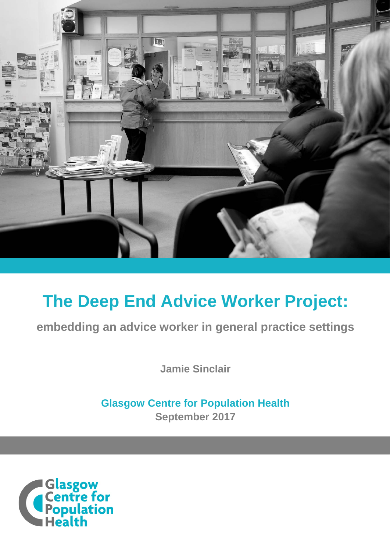

# **The Deep End Advice Worker Project:**

**embedding an advice worker in general practice settings**

**Jamie Sinclair**

**Glasgow Centre for Population Health September 2017**

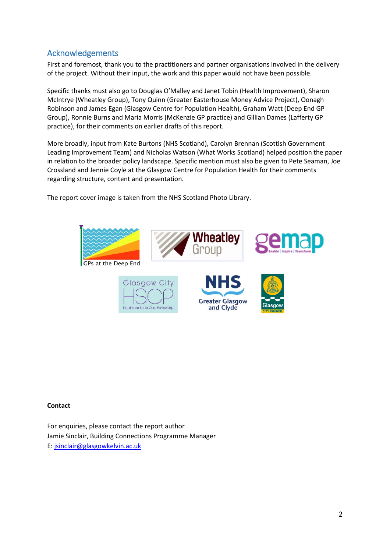# <span id="page-1-0"></span>Acknowledgements

First and foremost, thank you to the practitioners and partner organisations involved in the delivery of the project. Without their input, the work and this paper would not have been possible.

Specific thanks must also go to Douglas O'Malley and Janet Tobin (Health Improvement), Sharon McIntrye (Wheatley Group), Tony Quinn (Greater Easterhouse Money Advice Project), Oonagh Robinson and James Egan (Glasgow Centre for Population Health), Graham Watt (Deep End GP Group), Ronnie Burns and Maria Morris (McKenzie GP practice) and Gillian Dames (Lafferty GP practice), for their comments on earlier drafts of this report.

More broadly, input from Kate Burtons (NHS Scotland), Carolyn Brennan (Scottish Government Leading Improvement Team) and Nicholas Watson (What Works Scotland) helped position the paper in relation to the broader policy landscape. Specific mention must also be given to Pete Seaman, Joe Crossland and Jennie Coyle at the Glasgow Centre for Population Health for their comments regarding structure, content and presentation.

The report cover image is taken from the NHS Scotland Photo Library.



#### **Contact**

For enquiries, please contact the report author Jamie Sinclair, Building Connections Programme Manager E: [jsinclair@glasgowkelvin.ac.uk](mailto:jsinclair@glasgowkelvin.ac.uk)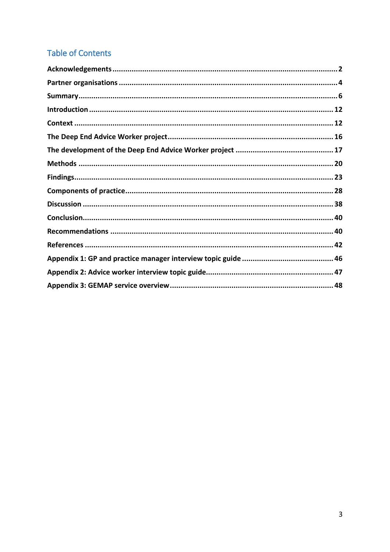# **Table of Contents**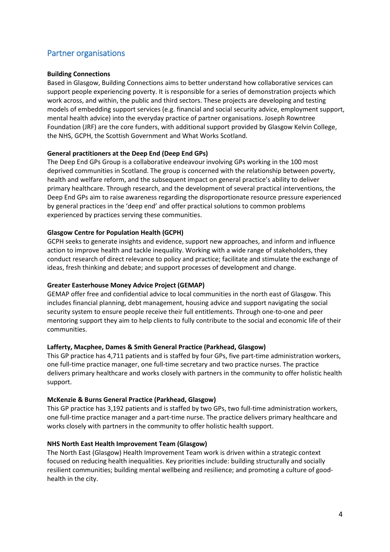# <span id="page-3-0"></span>Partner organisations

#### **Building Connections**

Based in Glasgow, Building Connections aims to better understand how collaborative services can support people experiencing poverty. It is responsible for a series of demonstration projects which work across, and within, the public and third sectors. These projects are developing and testing models of embedding support services (e.g. financial and social security advice, employment support, mental health advice) into the everyday practice of partner organisations. Joseph Rowntree Foundation (JRF) are the core funders, with additional support provided by Glasgow Kelvin College, the NHS, GCPH, the Scottish Government and What Works Scotland.

#### **General practitioners at the Deep End (Deep End GPs)**

The Deep End GPs Group is a collaborative endeavour involving GPs working in the 100 most deprived communities in Scotland. The group is concerned with the relationship between poverty, health and welfare reform, and the subsequent impact on general practice's ability to deliver primary healthcare. Through research, and the development of several practical interventions, the Deep End GPs aim to raise awareness regarding the disproportionate resource pressure experienced by general practices in the 'deep end' and offer practical solutions to common problems experienced by practices serving these communities.

#### **Glasgow Centre for Population Health (GCPH)**

GCPH seeks to generate insights and evidence, support new approaches, and inform and influence action to improve health and tackle inequality. Working with a wide range of stakeholders, they conduct research of direct relevance to policy and practice; facilitate and stimulate the exchange of ideas, fresh thinking and debate; and support processes of development and change.

# **Greater Easterhouse Money Advice Project (GEMAP)**

GEMAP offer free and confidential advice to local communities in the north east of Glasgow. This includes financial planning, debt management, housing advice and support navigating the social security system to ensure people receive their full entitlements. Through one-to-one and peer mentoring support they aim to help clients to fully contribute to the social and economic life of their communities.

#### **Lafferty, Macphee, Dames & Smith General Practice (Parkhead, Glasgow)**

This GP practice has 4,711 patients and is staffed by four GPs, five part-time administration workers, one full-time practice manager, one full-time secretary and two practice nurses. The practice delivers primary healthcare and works closely with partners in the community to offer holistic health support.

#### **McKenzie & Burns General Practice (Parkhead, Glasgow)**

This GP practice has 3,192 patients and is staffed by two GPs, two full-time administration workers, one full-time practice manager and a part-time nurse. The practice delivers primary healthcare and works closely with partners in the community to offer holistic health support.

#### **NHS North East Health Improvement Team (Glasgow)**

The North East (Glasgow) Health Improvement Team work is driven within a strategic context focused on reducing health inequalities. Key priorities include: building structurally and socially resilient communities; building mental wellbeing and resilience; and promoting a culture of goodhealth in the city.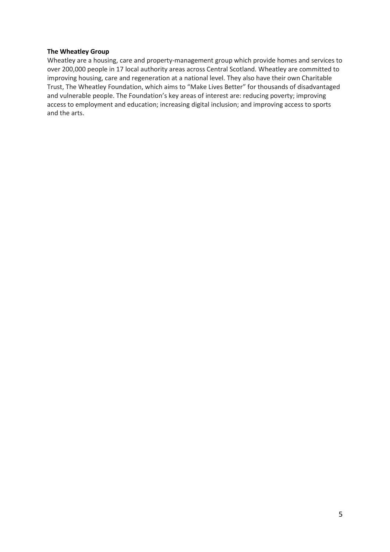#### **The Wheatley Group**

Wheatley are a housing, care and property-management group which provide homes and services to over 200,000 people in 17 local authority areas across Central Scotland. Wheatley are committed to improving housing, care and regeneration at a national level. They also have their own Charitable Trust, The Wheatley Foundation, which aims to "Make Lives Better" for thousands of disadvantaged and vulnerable people. The Foundation's key areas of interest are: reducing poverty; improving access to employment and education; increasing digital inclusion; and improving access to sports and the arts.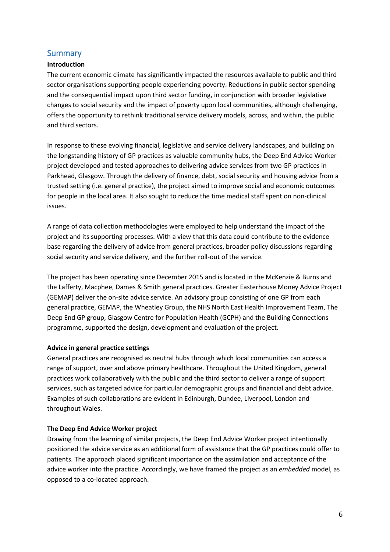# <span id="page-5-0"></span>**Summary**

# **Introduction**

The current economic climate has significantly impacted the resources available to public and third sector organisations supporting people experiencing poverty. Reductions in public sector spending and the consequential impact upon third sector funding, in conjunction with broader legislative changes to social security and the impact of poverty upon local communities, although challenging, offers the opportunity to rethink traditional service delivery models, across, and within, the public and third sectors.

In response to these evolving financial, legislative and service delivery landscapes, and building on the longstanding history of GP practices as valuable community hubs, the Deep End Advice Worker project developed and tested approaches to delivering advice services from two GP practices in Parkhead, Glasgow. Through the delivery of finance, debt, social security and housing advice from a trusted setting (i.e. general practice), the project aimed to improve social and economic outcomes for people in the local area. It also sought to reduce the time medical staff spent on non-clinical issues.

A range of data collection methodologies were employed to help understand the impact of the project and its supporting processes. With a view that this data could contribute to the evidence base regarding the delivery of advice from general practices, broader policy discussions regarding social security and service delivery, and the further roll-out of the service.

The project has been operating since December 2015 and is located in the McKenzie & Burns and the Lafferty, Macphee, Dames & Smith general practices. Greater Easterhouse Money Advice Project (GEMAP) deliver the on-site advice service. An advisory group consisting of one GP from each general practice, GEMAP, the Wheatley Group, the NHS North East Health Improvement Team, The Deep End GP group, Glasgow Centre for Population Health (GCPH) and the Building Connections programme, supported the design, development and evaluation of the project.

# **Advice in general practice settings**

General practices are recognised as neutral hubs through which local communities can access a range of support, over and above primary healthcare. Throughout the United Kingdom, general practices work collaboratively with the public and the third sector to deliver a range of support services, such as targeted advice for particular demographic groups and financial and debt advice. Examples of such collaborations are evident in Edinburgh, Dundee, Liverpool, London and throughout Wales.

# **The Deep End Advice Worker project**

Drawing from the learning of similar projects, the Deep End Advice Worker project intentionally positioned the advice service as an additional form of assistance that the GP practices could offer to patients. The approach placed significant importance on the assimilation and acceptance of the advice worker into the practice. Accordingly, we have framed the project as an *embedded* model, as opposed to a co-located approach.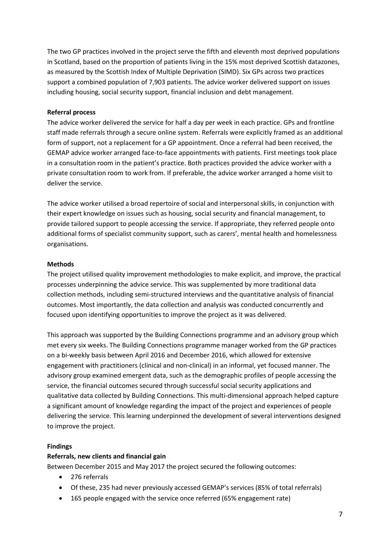The two GP practices involved in the project serve the fifth and eleventh most deprived populations in Scotland, based on the proportion of patients living in the 15% most deprived Scottish datazones, as measured by the Scottish Index of Multiple Deprivation (SIMD). Six GPs across two practices support a combined population of 7,903 patients. The advice worker delivered support on issues including housing, social security support, financial inclusion and debt management.

#### **Referral process**

The advice worker delivered the service for half a day per week in each practice. GPs and frontline staff made referrals through a secure online system. Referrals were explicitly framed as an additional form of support, not a replacement for a GP appointment. Once a referral had been received, the GEMAP advice worker arranged face-to-face appointments with patients. First meetings took place in a consultation room in the patient's practice. Both practices provided the advice worker with a private consultation room to work from. If preferable, the advice worker arranged a home visit to deliver the service.

The advice worker utilised a broad repertoire of social and interpersonal skills, in conjunction with their expert knowledge on issues such as housing, social security and financial management, to provide tailored support to people accessing the service. If appropriate, they referred people onto additional forms of specialist community support, such as carers', mental health and homelessness organisations.

#### **Methods**

The project utilised quality improvement methodologies to make explicit, and improve, the practical processes underpinning the advice service. This was supplemented by more traditional data collection methods, including semi-structured interviews and the quantitative analysis of financial outcomes. Most importantly, the data collection and analysis was conducted concurrently and focused upon identifying opportunities to improve the project as it was delivered.

This approach was supported by the Building Connections programme and an advisory group which met every six weeks. The Building Connections programme manager worked from the GP practices on a bi-weekly basis between April 2016 and December 2016, which allowed for extensive engagement with practitioners (clinical and non-clinical) in an informal, yet focused manner. The advisory group examined emergent data, such as the demographic profiles of people accessing the service, the financial outcomes secured through successful social security applications and qualitative data collected by Building Connections. This multi-dimensional approach helped capture a significant amount of knowledge regarding the impact of the project and experiences of people delivering the service. This learning underpinned the development of several interventions designed to improve the project.

#### **Findings**

#### **Referrals, new clients and financial gain**

Between December 2015 and May 2017 the project secured the following outcomes:

- 276 referrals
- Of these, 235 had never previously accessed GEMAP's services (85% of total referrals)
- 165 people engaged with the service once referred (65% engagement rate)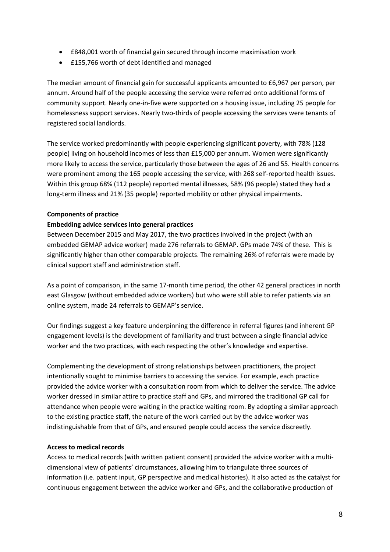- £848,001 worth of financial gain secured through income maximisation work
- £155,766 worth of debt identified and managed

The median amount of financial gain for successful applicants amounted to £6,967 per person, per annum. Around half of the people accessing the service were referred onto additional forms of community support. Nearly one-in-five were supported on a housing issue, including 25 people for homelessness support services. Nearly two-thirds of people accessing the services were tenants of registered social landlords.

The service worked predominantly with people experiencing significant poverty, with 78% (128 people) living on household incomes of less than £15,000 per annum. Women were significantly more likely to access the service, particularly those between the ages of 26 and 55. Health concerns were prominent among the 165 people accessing the service, with 268 self-reported health issues. Within this group 68% (112 people) reported mental illnesses, 58% (96 people) stated they had a long-term illness and 21% (35 people) reported mobility or other physical impairments.

# **Components of practice**

# **Embedding advice services into general practices**

Between December 2015 and May 2017, the two practices involved in the project (with an embedded GEMAP advice worker) made 276 referrals to GEMAP. GPs made 74% of these. This is significantly higher than other comparable projects. The remaining 26% of referrals were made by clinical support staff and administration staff.

As a point of comparison, in the same 17-month time period, the other 42 general practices in north east Glasgow (without embedded advice workers) but who were still able to refer patients via an online system, made 24 referrals to GEMAP's service.

Our findings suggest a key feature underpinning the difference in referral figures (and inherent GP engagement levels) is the development of familiarity and trust between a single financial advice worker and the two practices, with each respecting the other's knowledge and expertise.

Complementing the development of strong relationships between practitioners, the project intentionally sought to minimise barriers to accessing the service. For example, each practice provided the advice worker with a consultation room from which to deliver the service. The advice worker dressed in similar attire to practice staff and GPs, and mirrored the traditional GP call for attendance when people were waiting in the practice waiting room. By adopting a similar approach to the existing practice staff, the nature of the work carried out by the advice worker was indistinguishable from that of GPs, and ensured people could access the service discreetly.

# **Access to medical records**

Access to medical records (with written patient consent) provided the advice worker with a multidimensional view of patients' circumstances, allowing him to triangulate three sources of information (i.e. patient input, GP perspective and medical histories). It also acted as the catalyst for continuous engagement between the advice worker and GPs, and the collaborative production of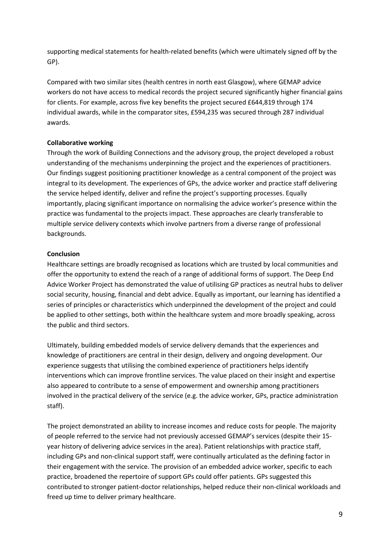supporting medical statements for health-related benefits (which were ultimately signed off by the GP).

Compared with two similar sites (health centres in north east Glasgow), where GEMAP advice workers do not have access to medical records the project secured significantly higher financial gains for clients. For example, across five key benefits the project secured £644,819 through 174 individual awards, while in the comparator sites, £594,235 was secured through 287 individual awards.

# **Collaborative working**

Through the work of Building Connections and the advisory group, the project developed a robust understanding of the mechanisms underpinning the project and the experiences of practitioners. Our findings suggest positioning practitioner knowledge as a central component of the project was integral to its development. The experiences of GPs, the advice worker and practice staff delivering the service helped identify, deliver and refine the project's supporting processes. Equally importantly, placing significant importance on normalising the advice worker's presence within the practice was fundamental to the projects impact. These approaches are clearly transferable to multiple service delivery contexts which involve partners from a diverse range of professional backgrounds.

#### **Conclusion**

Healthcare settings are broadly recognised as locations which are trusted by local communities and offer the opportunity to extend the reach of a range of additional forms of support. The Deep End Advice Worker Project has demonstrated the value of utilising GP practices as neutral hubs to deliver social security, housing, financial and debt advice. Equally as important, our learning has identified a series of principles or characteristics which underpinned the development of the project and could be applied to other settings, both within the healthcare system and more broadly speaking, across the public and third sectors.

Ultimately, building embedded models of service delivery demands that the experiences and knowledge of practitioners are central in their design, delivery and ongoing development. Our experience suggests that utilising the combined experience of practitioners helps identify interventions which can improve frontline services. The value placed on their insight and expertise also appeared to contribute to a sense of empowerment and ownership among practitioners involved in the practical delivery of the service (e.g. the advice worker, GPs, practice administration staff).

The project demonstrated an ability to increase incomes and reduce costs for people. The majority of people referred to the service had not previously accessed GEMAP's services (despite their 15 year history of delivering advice services in the area). Patient relationships with practice staff, including GPs and non-clinical support staff, were continually articulated as the defining factor in their engagement with the service. The provision of an embedded advice worker, specific to each practice, broadened the repertoire of support GPs could offer patients. GPs suggested this contributed to stronger patient-doctor relationships, helped reduce their non-clinical workloads and freed up time to deliver primary healthcare.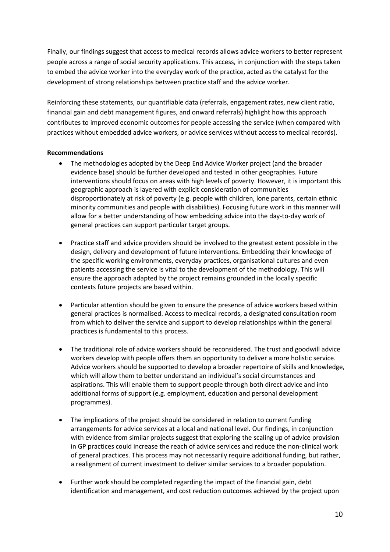Finally, our findings suggest that access to medical records allows advice workers to better represent people across a range of social security applications. This access, in conjunction with the steps taken to embed the advice worker into the everyday work of the practice, acted as the catalyst for the development of strong relationships between practice staff and the advice worker.

Reinforcing these statements, our quantifiable data (referrals, engagement rates, new client ratio, financial gain and debt management figures, and onward referrals) highlight how this approach contributes to improved economic outcomes for people accessing the service (when compared with practices without embedded advice workers, or advice services without access to medical records).

#### **Recommendations**

- The methodologies adopted by the Deep End Advice Worker project (and the broader evidence base) should be further developed and tested in other geographies. Future interventions should focus on areas with high levels of poverty. However, it is important this geographic approach is layered with explicit consideration of communities disproportionately at risk of poverty (e.g. people with children, lone parents, certain ethnic minority communities and people with disabilities). Focusing future work in this manner will allow for a better understanding of how embedding advice into the day-to-day work of general practices can support particular target groups.
- Practice staff and advice providers should be involved to the greatest extent possible in the design, delivery and development of future interventions. Embedding their knowledge of the specific working environments, everyday practices, organisational cultures and even patients accessing the service is vital to the development of the methodology. This will ensure the approach adapted by the project remains grounded in the locally specific contexts future projects are based within.
- Particular attention should be given to ensure the presence of advice workers based within general practices is normalised. Access to medical records, a designated consultation room from which to deliver the service and support to develop relationships within the general practices is fundamental to this process.
- The traditional role of advice workers should be reconsidered. The trust and goodwill advice workers develop with people offers them an opportunity to deliver a more holistic service. Advice workers should be supported to develop a broader repertoire of skills and knowledge, which will allow them to better understand an individual's social circumstances and aspirations. This will enable them to support people through both direct advice and into additional forms of support (e.g. employment, education and personal development programmes).
- The implications of the project should be considered in relation to current funding arrangements for advice services at a local and national level. Our findings, in conjunction with evidence from similar projects suggest that exploring the scaling up of advice provision in GP practices could increase the reach of advice services and reduce the non-clinical work of general practices. This process may not necessarily require additional funding, but rather, a realignment of current investment to deliver similar services to a broader population.
- Further work should be completed regarding the impact of the financial gain, debt identification and management, and cost reduction outcomes achieved by the project upon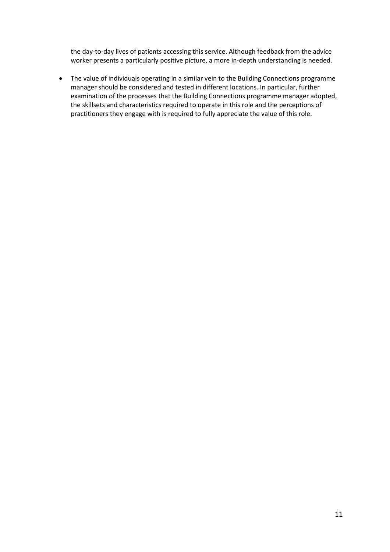the day-to-day lives of patients accessing this service. Although feedback from the advice worker presents a particularly positive picture, a more in-depth understanding is needed.

• The value of individuals operating in a similar vein to the Building Connections programme manager should be considered and tested in different locations. In particular, further examination of the processes that the Building Connections programme manager adopted, the skillsets and characteristics required to operate in this role and the perceptions of practitioners they engage with is required to fully appreciate the value of this role.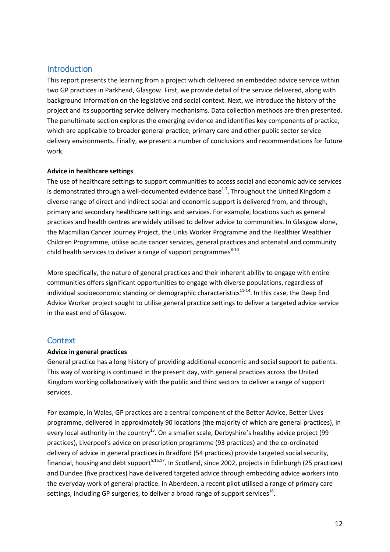# <span id="page-11-0"></span>Introduction

This report presents the learning from a project which delivered an embedded advice service within two GP practices in Parkhead, Glasgow. First, we provide detail of the service delivered, along with background information on the legislative and social context. Next, we introduce the history of the project and its supporting service delivery mechanisms. Data collection methods are then presented. The penultimate section explores the emerging evidence and identifies key components of practice, which are applicable to broader general practice, primary care and other public sector service delivery environments. Finally, we present a number of conclusions and recommendations for future work.

#### **Advice in healthcare settings**

The use of healthcare settings to support communities to access social and economic advice services is demonstrated through a well-documented evidence base<sup>1-7</sup>. Throughout the United Kingdom a diverse range of direct and indirect social and economic support is delivered from, and through, primary and secondary healthcare settings and services. For example, locations such as general practices and health centres are widely utilised to deliver advice to communities. In Glasgow alone, the Macmillan Cancer Journey Project, the Links Worker Programme and the Healthier Wealthier Children Programme, utilise acute cancer services, general practices and antenatal and community child health services to deliver a range of support programmes $8-10$ .

More specifically, the nature of general practices and their inherent ability to engage with entire communities offers significant opportunities to engage with diverse populations, regardless of individual socioeconomic standing or demographic characteristics<sup>11-14</sup>. In this case, the Deep End Advice Worker project sought to utilise general practice settings to deliver a targeted advice service in the east end of Glasgow.

# <span id="page-11-1"></span>**Context**

#### **Advice in general practices**

General practice has a long history of providing additional economic and social support to patients. This way of working is continued in the present day, with general practices across the United Kingdom working collaboratively with the public and third sectors to deliver a range of support services.

For example, in Wales, GP practices are a central component of the Better Advice, Better Lives programme, delivered in approximately 90 locations (the majority of which are general practices), in every local authority in the country<sup>15</sup>. On a smaller scale, Derbyshire's healthy advice project (99 practices), Liverpool's advice on prescription programme (93 practices) and the co-ordinated delivery of advice in general practices in Bradford (54 practices) provide targeted social security, financial, housing and debt support<sup>5,16,17</sup>. In Scotland, since 2002, projects in Edinburgh (25 practices) and Dundee (five practices) have delivered targeted advice through embedding advice workers into the everyday work of general practice. In Aberdeen, a recent pilot utilised a range of primary care settings, including GP surgeries, to deliver a broad range of support services<sup>18</sup>.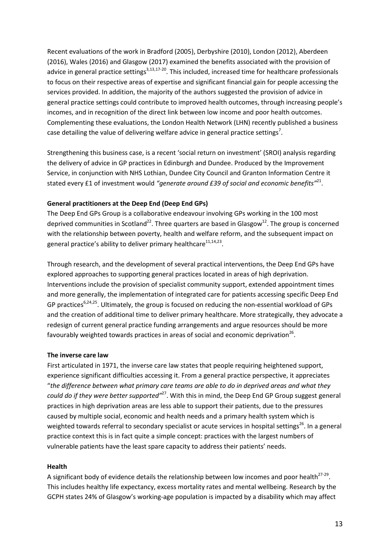Recent evaluations of the work in Bradford (2005), Derbyshire (2010), London (2012), Aberdeen (2016), Wales (2016) and Glasgow (2017) examined the benefits associated with the provision of advice in general practice settings<sup>3,13,17-20</sup>. This included, increased time for healthcare professionals to focus on their respective areas of expertise and significant financial gain for people accessing the services provided. In addition, the majority of the authors suggested the provision of advice in general practice settings could contribute to improved health outcomes, through increasing people's incomes, and in recognition of the direct link between low income and poor health outcomes. Complementing these evaluations, the London Health Network (LHN) recently published a business case detailing the value of delivering welfare advice in general practice settings<sup>7</sup>.

Strengthening this business case, is a recent 'social return on investment' (SROI) analysis regarding the delivery of advice in GP practices in Edinburgh and Dundee. Produced by the Improvement Service, in conjunction with NHS Lothian, Dundee City Council and Granton Information Centre it stated every £1 of investment would *"generate around £39 of social and economic benefits"*21.

#### **General practitioners at the Deep End (Deep End GPs)**

The Deep End GPs Group is a collaborative endeavour involving GPs working in the 100 most deprived communities in Scotland<sup>22</sup>. Three quarters are based in Glasgow<sup>12</sup>. The group is concerned with the relationship between poverty, health and welfare reform, and the subsequent impact on general practice's ability to deliver primary healthcare $11,14,23$ .

Through research, and the development of several practical interventions, the Deep End GPs have explored approaches to supporting general practices located in areas of high deprivation. Interventions include the provision of specialist community support, extended appointment times and more generally, the implementation of integrated care for patients accessing specific Deep End GP practices<sup>6,24,25</sup>. Ultimately, the group is focused on reducing the non-essential workload of GPs and the creation of additional time to deliver primary healthcare. More strategically, they advocate a redesign of current general practice funding arrangements and argue resources should be more favourably weighted towards practices in areas of social and economic deprivation<sup>26</sup>.

# **The inverse care law**

First articulated in 1971, the inverse care law states that people requiring heightened support, experience significant difficulties accessing it. From a general practice perspective, it appreciates "*the difference between what primary care teams are able to do in deprived areas and what they*  could do if they were better supported<sup>127</sup>. With this in mind, the Deep End GP Group suggest general practices in high deprivation areas are less able to support their patients, due to the pressures caused by multiple social, economic and health needs and a primary health system which is weighted towards referral to secondary specialist or acute services in hospital settings<sup>26</sup>. In a general practice context this is in fact quite a simple concept: practices with the largest numbers of vulnerable patients have the least spare capacity to address their patients' needs.

#### **Health**

A significant body of evidence details the relationship between low incomes and poor health $^{27-29}$ . This includes healthy life expectancy, excess mortality rates and mental wellbeing. Research by the GCPH states 24% of Glasgow's working-age population is impacted by a disability which may affect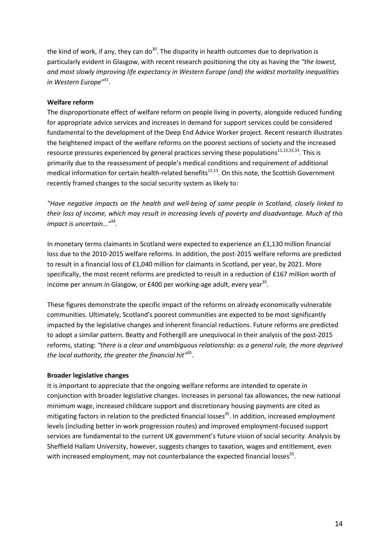the kind of work, if any, they can do<sup>30</sup>. The disparity in health outcomes due to deprivation is particularly evident in Glasgow, with recent research positioning the city as having the *"the lowest, and most slowly improving life expectancy in Western Europe (and) the widest mortality inequalities in Western Europe"* 31.

# **Welfare reform**

The disproportionate effect of welfare reform on people living in poverty, alongside reduced funding for appropriate advice services and increases in demand for support services could be considered fundamental to the development of the Deep End Advice Worker project. Recent research illustrates the heightened impact of the welfare reforms on the poorest sections of society and the increased resource pressures experienced by general practices serving these populations $11,13,32,33$ . This is primarily due to the reassessment of people's medical conditions and requirement of additional medical information for certain health-related benefits<sup>11,13</sup>. On this note, the Scottish Government recently framed changes to the social security system as likely to:

*"Have negative impacts on the health and well-being of some people in Scotland, closely linked to their loss of income, which may result in increasing levels of poverty and disadvantage. Much of this impact is uncertain…"*<sup>34</sup>*.*

In monetary terms claimants in Scotland were expected to experience an £1,130 million financial loss due to the 2010-2015 welfare reforms. In addition, the post-2015 welfare reforms are predicted to result in a financial loss of £1,040 million for claimants in Scotland, per year, by 2021. More specifically, the most recent reforms are predicted to result in a reduction of £167 million worth of income per annum in Glasgow, or  $£400$  per working-age adult, every year<sup>35</sup>.

These figures demonstrate the specific impact of the reforms on already economically vulnerable communities. Ultimately, Scotland's poorest communities are expected to be most significantly impacted by the legislative changes and inherent financial reductions. Future reforms are predicted to adopt a similar pattern. Beatty and Fothergill are unequivocal in their analysis of the post-2015 reforms, stating: *"there is a clear and unambiguous relationship: as a general rule, the more deprived the local authority, the greater the financial hit"* 35.

#### **Broader legislative changes**

It is important to appreciate that the ongoing welfare reforms are intended to operate in conjunction with broader legislative changes. Increases in personal tax allowances, the new national minimum wage, increased childcare support and discretionary housing payments are cited as mitigating factors in relation to the predicted financial losses<sup>35</sup>. In addition, increased employment levels (including better in-work progression routes) and improved employment-focused support services are fundamental to the current UK government's future vision of social security. Analysis by Sheffield Hallam University, however, suggests changes to taxation, wages and entitlement, even with increased employment, may not counterbalance the expected financial losses $35$ .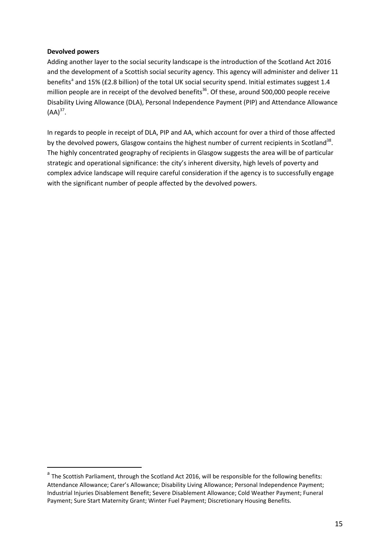#### **Devolved powers**

Adding another layer to the social security landscape is the introduction of the Scotland Act 2016 and the development of a Scottish social security agency. This agency will administer and deliver 11 benefits<sup>[a](#page-14-0)</sup> and 15% (£2.8 billion) of the total UK social security spend. Initial estimates suggest 1.4 million people are in receipt of the devolved benefits<sup>36</sup>. Of these, around 500,000 people receive Disability Living Allowance (DLA), Personal Independence Payment (PIP) and Attendance Allowance  $(AA)^{37}$ .

In regards to people in receipt of DLA, PIP and AA, which account for over a third of those affected by the devolved powers, Glasgow contains the highest number of current recipients in Scotland<sup>38</sup>. The highly concentrated geography of recipients in Glasgow suggests the area will be of particular strategic and operational significance: the city's inherent diversity, high levels of poverty and complex advice landscape will require careful consideration if the agency is to successfully engage with the significant number of people affected by the devolved powers.

<span id="page-14-0"></span><sup>&</sup>lt;sup>a</sup> The Scottish Parliament, through the Scotland Act 2016, will be responsible for the following benefits: Attendance Allowance; Carer's Allowance; Disability Living Allowance; Personal Independence Payment; Industrial Injuries Disablement Benefit; Severe Disablement Allowance; Cold Weather Payment; Funeral Payment; Sure Start Maternity Grant; Winter Fuel Payment; Discretionary Housing Benefits.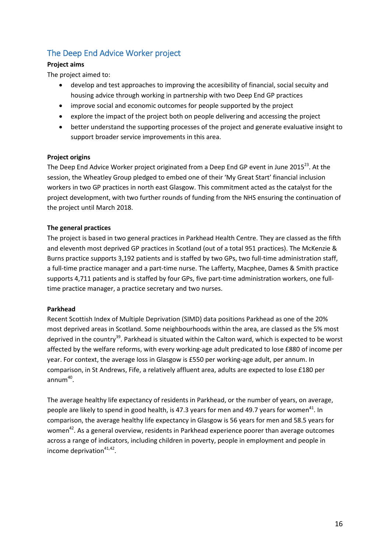# <span id="page-15-0"></span>The Deep End Advice Worker project

# **Project aims**

The project aimed to:

- develop and test approaches to improving the accesibility of financial, social secuity and housing advice through working in partnership with two Deep End GP practices
- improve social and economic outcomes for people supported by the project
- explore the impact of the project both on people delivering and accessing the project
- better understand the supporting processes of the project and generate evaluative insight to support broader service improvements in this area.

# **Project origins**

The Deep End Advice Worker project originated from a Deep End GP event in June 2015<sup>23</sup>. At the session, the Wheatley Group pledged to embed one of their 'My Great Start' financial inclusion workers in two GP practices in north east Glasgow. This commitment acted as the catalyst for the project development, with two further rounds of funding from the NHS ensuring the continuation of the project until March 2018.

# **The general practices**

The project is based in two general practices in Parkhead Health Centre. They are classed as the fifth and eleventh most deprived GP practices in Scotland (out of a total 951 practices). The McKenzie & Burns practice supports 3,192 patients and is staffed by two GPs, two full-time administration staff, a full-time practice manager and a part-time nurse. The Lafferty, Macphee, Dames & Smith practice supports 4,711 patients and is staffed by four GPs, five part-time administration workers, one fulltime practice manager, a practice secretary and two nurses.

# **Parkhead**

Recent Scottish Index of Multiple Deprivation (SIMD) data positions Parkhead as one of the 20% most deprived areas in Scotland. Some neighbourhoods within the area, are classed as the 5% most deprived in the country<sup>39</sup>. Parkhead is situated within the Calton ward, which is expected to be worst affected by the welfare reforms, with every working-age adult predicated to lose £880 of income per year. For context, the average loss in Glasgow is £550 per working-age adult, per annum. In comparison, in St Andrews, Fife, a relatively affluent area, adults are expected to lose £180 per annum $40$ .

The average healthy life expectancy of residents in Parkhead, or the number of years, on average, people are likely to spend in good health, is 47.3 years for men and 49.7 years for women<sup>41</sup>. In comparison, the average healthy life expectancy in Glasgow is 56 years for men and 58.5 years for women<sup>42</sup>. As a general overview, residents in Parkhead experience poorer than average outcomes across a range of indicators, including children in poverty, people in employment and people in income deprivation $41,42$ .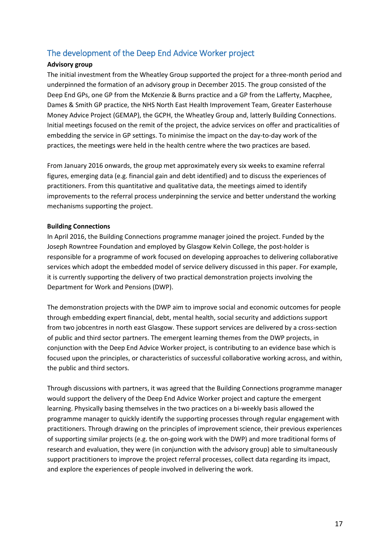# <span id="page-16-0"></span>The development of the Deep End Advice Worker project

# **Advisory group**

The initial investment from the Wheatley Group supported the project for a three-month period and underpinned the formation of an advisory group in December 2015. The group consisted of the Deep End GPs, one GP from the McKenzie & Burns practice and a GP from the Lafferty, Macphee, Dames & Smith GP practice, the NHS North East Health Improvement Team, Greater Easterhouse Money Advice Project (GEMAP), the GCPH, the Wheatley Group and, latterly Building Connections. Initial meetings focused on the remit of the project, the advice services on offer and practicalities of embedding the service in GP settings. To minimise the impact on the day-to-day work of the practices, the meetings were held in the health centre where the two practices are based.

From January 2016 onwards, the group met approximately every six weeks to examine referral figures, emerging data (e.g. financial gain and debt identified) and to discuss the experiences of practitioners. From this quantitative and qualitative data, the meetings aimed to identify improvements to the referral process underpinning the service and better understand the working mechanisms supporting the project.

#### **Building Connections**

In April 2016, the Building Connections programme manager joined the project. Funded by the Joseph Rowntree Foundation and employed by Glasgow Kelvin College, the post-holder is responsible for a programme of work focused on developing approaches to delivering collaborative services which adopt the embedded model of service delivery discussed in this paper. For example, it is currently supporting the delivery of two practical demonstration projects involving the Department for Work and Pensions (DWP).

The demonstration projects with the DWP aim to improve social and economic outcomes for people through embedding expert financial, debt, mental health, social security and addictions support from two jobcentres in north east Glasgow. These support services are delivered by a cross-section of public and third sector partners. The emergent learning themes from the DWP projects, in conjunction with the Deep End Advice Worker project, is contributing to an evidence base which is focused upon the principles, or characteristics of successful collaborative working across, and within, the public and third sectors.

Through discussions with partners, it was agreed that the Building Connections programme manager would support the delivery of the Deep End Advice Worker project and capture the emergent learning. Physically basing themselves in the two practices on a bi-weekly basis allowed the programme manager to quickly identify the supporting processes through regular engagement with practitioners. Through drawing on the principles of improvement science, their previous experiences of supporting similar projects (e.g. the on-going work with the DWP) and more traditional forms of research and evaluation, they were (in conjunction with the advisory group) able to simultaneously support practitioners to improve the project referral processes, collect data regarding its impact, and explore the experiences of people involved in delivering the work.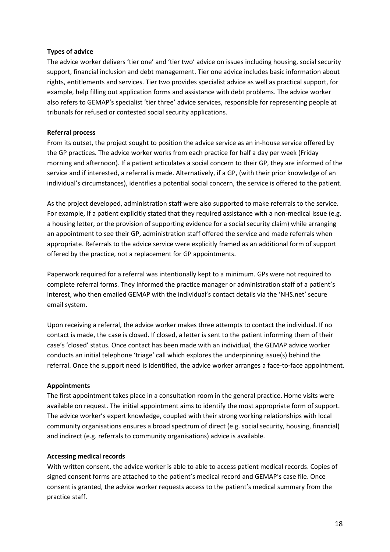#### **Types of advice**

The advice worker delivers 'tier one' and 'tier two' advice on issues including housing, social security support, financial inclusion and debt management. Tier one advice includes basic information about rights, entitlements and services. Tier two provides specialist advice as well as practical support, for example, help filling out application forms and assistance with debt problems. The advice worker also refers to GEMAP's specialist 'tier three' advice services, responsible for representing people at tribunals for refused or contested social security applications.

# **Referral process**

From its outset, the project sought to position the advice service as an in-house service offered by the GP practices. The advice worker works from each practice for half a day per week (Friday morning and afternoon). If a patient articulates a social concern to their GP, they are informed of the service and if interested, a referral is made. Alternatively, if a GP, (with their prior knowledge of an individual's circumstances), identifies a potential social concern, the service is offered to the patient.

As the project developed, administration staff were also supported to make referrals to the service. For example, if a patient explicitly stated that they required assistance with a non-medical issue (e.g. a housing letter, or the provision of supporting evidence for a social security claim) while arranging an appointment to see their GP, administration staff offered the service and made referrals when appropriate. Referrals to the advice service were explicitly framed as an additional form of support offered by the practice, not a replacement for GP appointments.

Paperwork required for a referral was intentionally kept to a minimum. GPs were not required to complete referral forms. They informed the practice manager or administration staff of a patient's interest, who then emailed GEMAP with the individual's contact details via the 'NHS.net' secure email system.

Upon receiving a referral, the advice worker makes three attempts to contact the individual. If no contact is made, the case is closed. If closed, a letter is sent to the patient informing them of their case's 'closed' status. Once contact has been made with an individual, the GEMAP advice worker conducts an initial telephone 'triage' call which explores the underpinning issue(s) behind the referral. Once the support need is identified, the advice worker arranges a face-to-face appointment.

# **Appointments**

The first appointment takes place in a consultation room in the general practice. Home visits were available on request. The initial appointment aims to identify the most appropriate form of support. The advice worker's expert knowledge, coupled with their strong working relationships with local community organisations ensures a broad spectrum of direct (e.g. social security, housing, financial) and indirect (e.g. referrals to community organisations) advice is available.

# **Accessing medical records**

With written consent, the advice worker is able to able to access patient medical records. Copies of signed consent forms are attached to the patient's medical record and GEMAP's case file. Once consent is granted, the advice worker requests access to the patient's medical summary from the practice staff.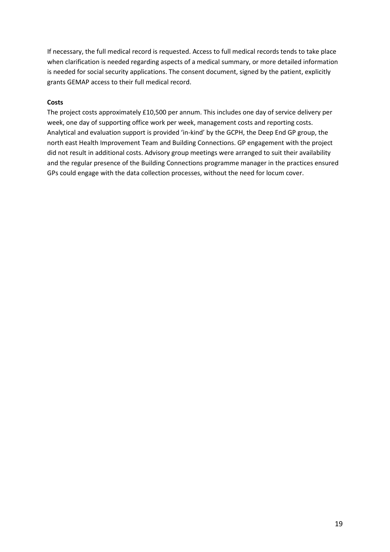If necessary, the full medical record is requested. Access to full medical records tends to take place when clarification is needed regarding aspects of a medical summary, or more detailed information is needed for social security applications. The consent document, signed by the patient, explicitly grants GEMAP access to their full medical record.

# **Costs**

The project costs approximately £10,500 per annum. This includes one day of service delivery per week, one day of supporting office work per week, management costs and reporting costs. Analytical and evaluation support is provided 'in-kind' by the GCPH, the Deep End GP group, the north east Health Improvement Team and Building Connections. GP engagement with the project did not result in additional costs. Advisory group meetings were arranged to suit their availability and the regular presence of the Building Connections programme manager in the practices ensured GPs could engage with the data collection processes, without the need for locum cover.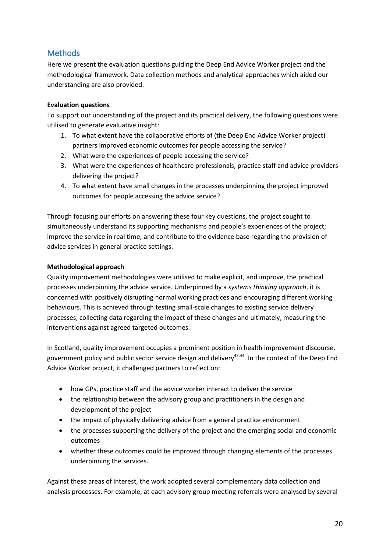# <span id="page-19-0"></span>**Methods**

Here we present the evaluation questions guiding the Deep End Advice Worker project and the methodological framework. Data collection methods and analytical approaches which aided our understanding are also provided.

# **Evaluation questions**

To support our understanding of the project and its practical delivery, the following questions were utilised to generate evaluative insight:

- 1. To what extent have the collaborative efforts of (the Deep End Advice Worker project) partners improved economic outcomes for people accessing the service?
- 2. What were the experiences of people accessing the service?
- 3. What were the experiences of healthcare professionals, practice staff and advice providers delivering the project?
- 4. To what extent have small changes in the processes underpinning the project improved outcomes for people accessing the advice service?

Through focusing our efforts on answering these four key questions, the project sought to simultaneously understand its supporting mechanisms and people's experiences of the project; improve the service in real time; and contribute to the evidence base regarding the provision of advice services in general practice settings.

# **Methodological approach**

Quality improvement methodologies were utilised to make explicit, and improve, the practical processes underpinning the advice service. Underpinned by a *systems thinking approach*, it is concerned with positively disrupting normal working practices and encouraging different working behaviours. This is achieved through testing small-scale changes to existing service delivery processes, collecting data regarding the impact of these changes and ultimately, measuring the interventions against agreed targeted outcomes.

In Scotland, quality improvement occupies a prominent position in health improvement discourse, government policy and public sector service design and delivery<sup>43,44</sup>. In the context of the Deep End Advice Worker project, it challenged partners to reflect on:

- how GPs, practice staff and the advice worker interact to deliver the service
- the relationship between the advisory group and practitioners in the design and development of the project
- the impact of physically delivering advice from a general practice environment
- the processes supporting the delivery of the project and the emerging social and economic outcomes
- whether these outcomes could be improved through changing elements of the processes underpinning the services.

Against these areas of interest, the work adopted several complementary data collection and analysis processes. For example, at each advisory group meeting referrals were analysed by several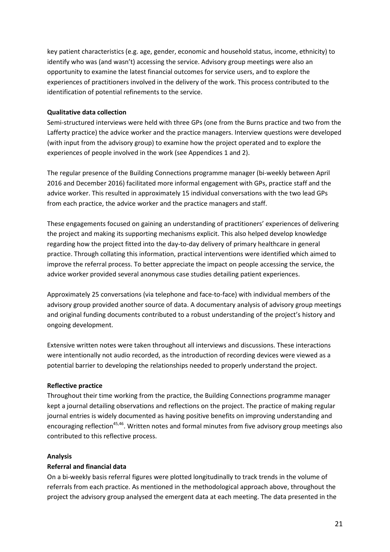key patient characteristics (e.g. age, gender, economic and household status, income, ethnicity) to identify who was (and wasn't) accessing the service. Advisory group meetings were also an opportunity to examine the latest financial outcomes for service users, and to explore the experiences of practitioners involved in the delivery of the work. This process contributed to the identification of potential refinements to the service.

#### **Qualitative data collection**

Semi-structured interviews were held with three GPs (one from the Burns practice and two from the Lafferty practice) the advice worker and the practice managers. Interview questions were developed (with input from the advisory group) to examine how the project operated and to explore the experiences of people involved in the work (see Appendices 1 and 2).

The regular presence of the Building Connections programme manager (bi-weekly between April 2016 and December 2016) facilitated more informal engagement with GPs, practice staff and the advice worker. This resulted in approximately 15 individual conversations with the two lead GPs from each practice, the advice worker and the practice managers and staff.

These engagements focused on gaining an understanding of practitioners' experiences of delivering the project and making its supporting mechanisms explicit. This also helped develop knowledge regarding how the project fitted into the day-to-day delivery of primary healthcare in general practice. Through collating this information, practical interventions were identified which aimed to improve the referral process. To better appreciate the impact on people accessing the service, the advice worker provided several anonymous case studies detailing patient experiences.

Approximately 25 conversations (via telephone and face-to-face) with individual members of the advisory group provided another source of data. A documentary analysis of advisory group meetings and original funding documents contributed to a robust understanding of the project's history and ongoing development.

Extensive written notes were taken throughout all interviews and discussions. These interactions were intentionally not audio recorded, as the introduction of recording devices were viewed as a potential barrier to developing the relationships needed to properly understand the project.

# **Reflective practice**

Throughout their time working from the practice, the Building Connections programme manager kept a journal detailing observations and reflections on the project. The practice of making regular journal entries is widely documented as having positive benefits on improving understanding and encouraging reflection<sup>45,46</sup>. Written notes and formal minutes from five advisory group meetings also contributed to this reflective process.

#### **Analysis**

#### **Referral and financial data**

On a bi-weekly basis referral figures were plotted longitudinally to track trends in the volume of referrals from each practice. As mentioned in the methodological approach above, throughout the project the advisory group analysed the emergent data at each meeting. The data presented in the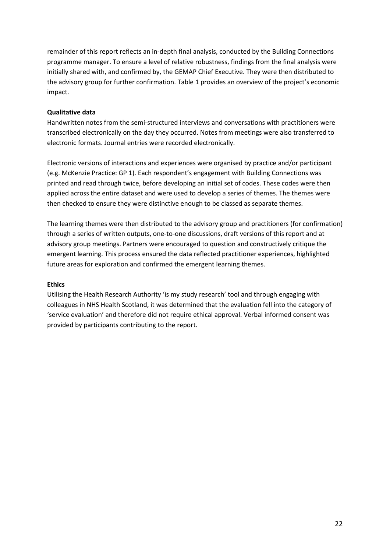remainder of this report reflects an in-depth final analysis, conducted by the Building Connections programme manager. To ensure a level of relative robustness, findings from the final analysis were initially shared with, and confirmed by, the GEMAP Chief Executive. They were then distributed to the advisory group for further confirmation. Table 1 provides an overview of the project's economic impact.

## **Qualitative data**

Handwritten notes from the semi-structured interviews and conversations with practitioners were transcribed electronically on the day they occurred. Notes from meetings were also transferred to electronic formats. Journal entries were recorded electronically.

Electronic versions of interactions and experiences were organised by practice and/or participant (e.g. McKenzie Practice: GP 1). Each respondent's engagement with Building Connections was printed and read through twice, before developing an initial set of codes. These codes were then applied across the entire dataset and were used to develop a series of themes. The themes were then checked to ensure they were distinctive enough to be classed as separate themes.

The learning themes were then distributed to the advisory group and practitioners (for confirmation) through a series of written outputs, one-to-one discussions, draft versions of this report and at advisory group meetings. Partners were encouraged to question and constructively critique the emergent learning. This process ensured the data reflected practitioner experiences, highlighted future areas for exploration and confirmed the emergent learning themes.

#### **Ethics**

Utilising the Health Research Authority 'is my study research' tool and through engaging with colleagues in NHS Health Scotland, it was determined that the evaluation fell into the category of 'service evaluation' and therefore did not require ethical approval. Verbal informed consent was provided by participants contributing to the report.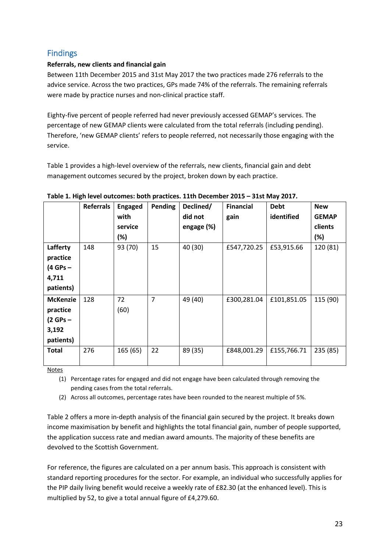# <span id="page-22-0"></span>Findings

# **Referrals, new clients and financial gain**

Between 11th December 2015 and 31st May 2017 the two practices made 276 referrals to the advice service. Across the two practices, GPs made 74% of the referrals. The remaining referrals were made by practice nurses and non-clinical practice staff.

Eighty-five percent of people referred had never previously accessed GEMAP's services. The percentage of new GEMAP clients were calculated from the total referrals (including pending). Therefore, 'new GEMAP clients' refers to people referred, not necessarily those engaging with the service.

Table 1 provides a high-level overview of the referrals, new clients, financial gain and debt management outcomes secured by the project, broken down by each practice.

|                 | <b>Referrals</b> | <b>Engaged</b> | Pending | Declined/  | <b>Financial</b> | <b>Debt</b> | <b>New</b>   |
|-----------------|------------------|----------------|---------|------------|------------------|-------------|--------------|
|                 |                  | with           |         | did not    | gain             | identified  | <b>GEMAP</b> |
|                 |                  | service        |         | engage (%) |                  |             | clients      |
|                 |                  | $(\%)$         |         |            |                  |             | (%)          |
| Lafferty        | 148              | 93 (70)        | 15      | 40 (30)    | £547,720.25      | £53,915.66  | 120 (81)     |
| practice        |                  |                |         |            |                  |             |              |
| $(4$ GPs $-$    |                  |                |         |            |                  |             |              |
| 4,711           |                  |                |         |            |                  |             |              |
| patients)       |                  |                |         |            |                  |             |              |
| <b>McKenzie</b> | 128              | 72             | 7       | 49 (40)    | £300,281.04      | £101,851.05 | 115 (90)     |
| practice        |                  | (60)           |         |            |                  |             |              |
| $(2$ GPs –      |                  |                |         |            |                  |             |              |
| 3,192           |                  |                |         |            |                  |             |              |
| patients)       |                  |                |         |            |                  |             |              |
| <b>Total</b>    | 276              | 165(65)        | 22      | 89 (35)    | £848,001.29      | £155,766.71 | 235 (85)     |
|                 |                  |                |         |            |                  |             |              |

#### **Table 1. High level outcomes: both practices. 11th December 2015 – 31st May 2017.**

**Notes** 

(1) Percentage rates for engaged and did not engage have been calculated through removing the pending cases from the total referrals.

(2) Across all outcomes, percentage rates have been rounded to the nearest multiple of 5%.

Table 2 offers a more in-depth analysis of the financial gain secured by the project. It breaks down income maximisation by benefit and highlights the total financial gain, number of people supported, the application success rate and median award amounts. The majority of these benefits are devolved to the Scottish Government.

For reference, the figures are calculated on a per annum basis. This approach is consistent with standard reporting procedures for the sector. For example, an individual who successfully applies for the PIP daily living benefit would receive a weekly rate of £82.30 (at the enhanced level). This is multiplied by 52, to give a total annual figure of £4,279.60.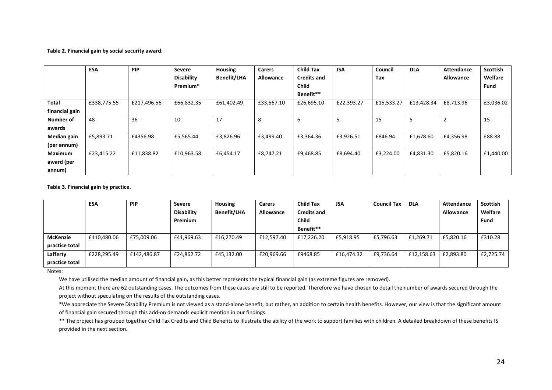#### **Table 2. Financial gain by social security award.**

|                | <b>ESA</b>  | <b>PIP</b>  | Severe               | <b>Housing</b>     | <b>Carers</b> | <b>Child Tax</b>   | <b>JSA</b> | Council    | <b>DLA</b> | Attendance       | <b>Scottish</b> |
|----------------|-------------|-------------|----------------------|--------------------|---------------|--------------------|------------|------------|------------|------------------|-----------------|
|                |             |             | <b>Disability</b>    | <b>Benefit/LHA</b> | Allowance     | <b>Credits and</b> |            | Tax        |            | <b>Allowance</b> | Welfare         |
|                |             |             | Premium <sup>*</sup> |                    |               | <b>Child</b>       |            |            |            |                  | <b>Fund</b>     |
|                |             |             |                      |                    |               | Benefit**          |            |            |            |                  |                 |
| <b>Total</b>   | £338,775.55 | £217,496.56 | £66,832.35           | £61,402.49         | £33,567.10    | £26,695.10         | £22,393.27 | £15,533.27 | £13,428.34 | £8,713.96        | £3,036.02       |
| financial gain |             |             |                      |                    |               |                    |            |            |            |                  |                 |
| Number of      | 48          | 36          | 10                   | 17                 | 8             | 6                  |            | 15         |            |                  | 15              |
| awards         |             |             |                      |                    |               |                    |            |            |            |                  |                 |
| Median gain    | £5,893.71   | £4356.98    | £5,565.44            | £3,826.96          | £3,499.40     | £3,364.36          | £3,926.51  | £846.94    | £1,678.60  | £4,356.98        | £88.88          |
| (per annum)    |             |             |                      |                    |               |                    |            |            |            |                  |                 |
| <b>Maximum</b> | £23,415.22  | £11,838.82  | £10,963.58           | £6,454.17          | £8.747.21     | £9,468.85          | £8,694.40  | £3,224.00  | £4,831.30  | £5,820.16        | £1,440.00       |
| award (per     |             |             |                      |                    |               |                    |            |            |            |                  |                 |
| annum)         |             |             |                      |                    |               |                    |            |            |            |                  |                 |

**Table 3. Financial gain by practice.**

|                 | <b>ESA</b>  | <b>PIP</b>  | <b>Severe</b>     | <b>Housing</b>     | <b>Carers</b>    | <b>Child Tax</b>   | <b>JSA</b> | <b>Council Tax</b> | <b>DLA</b> | Attendance | <b>Scottish</b> |
|-----------------|-------------|-------------|-------------------|--------------------|------------------|--------------------|------------|--------------------|------------|------------|-----------------|
|                 |             |             | <b>Disability</b> | <b>Benefit/LHA</b> | <b>Allowance</b> | <b>Credits and</b> |            |                    |            | Allowance  | Welfare         |
|                 |             |             | Premium           |                    |                  | <b>Child</b>       |            |                    |            |            | <b>Fund</b>     |
|                 |             |             |                   |                    |                  | Benefit**          |            |                    |            |            |                 |
| <b>McKenzie</b> | £110,480.06 | £75,009.06  | £41,969.63        | £16,270.49         | £12,597.40       | £17,226.20         | £5,918.95  | £5,796.63          | £1,269.71  | £5,820.16  | £310.28         |
| practice total  |             |             |                   |                    |                  |                    |            |                    |            |            |                 |
| Lafferty        | £228,295.49 | £142.486.87 | £24.862.72        | £45,132.00         | £20,969.66       | £9468.85           | £16.474.32 | £9,736.64          | £12,158.63 | £2.893.80  | £2.725.74       |
| practice total  |             |             |                   |                    |                  |                    |            |                    |            |            |                 |

Notes:

We have utilised the median amount of financial gain, as this better represents the typical financial gain (as extreme figures are removed).

At this moment there are 62 outstanding cases. The outcomes from these cases are still to be reported. Therefore we have chosen to detail the number of awards secured through the project without speculating on the results of the outstanding cases.

\*We appreciate the Severe Disability Premium is not viewed as a stand-alone benefit, but rather, an addition to certain health benefits. However, our view is that the significant amount of financial gain secured through this add-on demands explicit mention in our findings.

\*\* The project has grouped together Child Tax Credits and Child Benefits to illustrate the ability of the work to support families with children. A detailed breakdown of these benefits IS provided in the next section.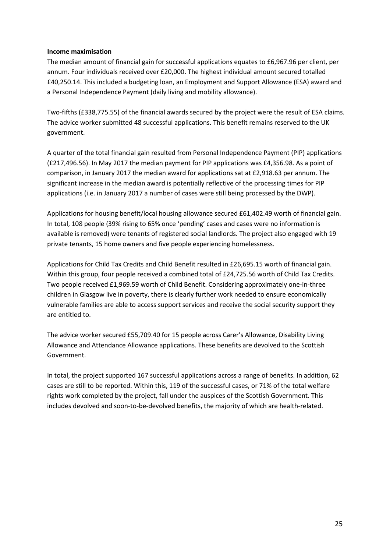#### **Income maximisation**

The median amount of financial gain for successful applications equates to £6,967.96 per client, per annum. Four individuals received over £20,000. The highest individual amount secured totalled £40,250.14. This included a budgeting loan, an Employment and Support Allowance (ESA) award and a Personal Independence Payment (daily living and mobility allowance).

Two-fifths (£338,775.55) of the financial awards secured by the project were the result of ESA claims. The advice worker submitted 48 successful applications. This benefit remains reserved to the UK government.

A quarter of the total financial gain resulted from Personal Independence Payment (PIP) applications (£217,496.56). In May 2017 the median payment for PIP applications was £4,356.98. As a point of comparison, in January 2017 the median award for applications sat at £2,918.63 per annum. The significant increase in the median award is potentially reflective of the processing times for PIP applications (i.e. in January 2017 a number of cases were still being processed by the DWP).

Applications for housing benefit/local housing allowance secured £61,402.49 worth of financial gain. In total, 108 people (39% rising to 65% once 'pending' cases and cases were no information is available is removed) were tenants of registered social landlords. The project also engaged with 19 private tenants, 15 home owners and five people experiencing homelessness.

Applications for Child Tax Credits and Child Benefit resulted in £26,695.15 worth of financial gain. Within this group, four people received a combined total of £24,725.56 worth of Child Tax Credits. Two people received £1,969.59 worth of Child Benefit. Considering approximately one-in-three children in Glasgow live in poverty, there is clearly further work needed to ensure economically vulnerable families are able to access support services and receive the social security support they are entitled to.

The advice worker secured £55,709.40 for 15 people across Carer's Allowance, Disability Living Allowance and Attendance Allowance applications. These benefits are devolved to the Scottish Government.

In total, the project supported 167 successful applications across a range of benefits. In addition, 62 cases are still to be reported. Within this, 119 of the successful cases, or 71% of the total welfare rights work completed by the project, fall under the auspices of the Scottish Government. This includes devolved and soon-to-be-devolved benefits, the majority of which are health-related.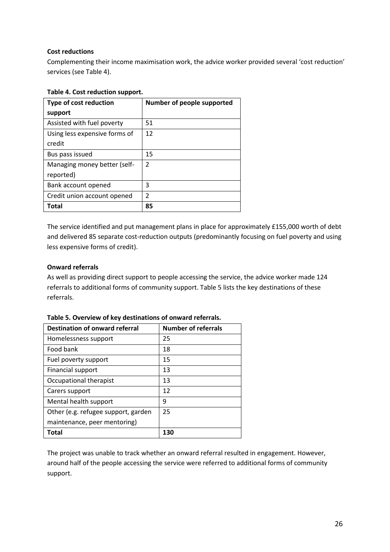# **Cost reductions**

Complementing their income maximisation work, the advice worker provided several 'cost reduction' services (see Table 4).

# **Table 4. Cost reduction support.**

| <b>Type of cost reduction</b> | Number of people supported |
|-------------------------------|----------------------------|
| support                       |                            |
| Assisted with fuel poverty    | 51                         |
| Using less expensive forms of | 12                         |
| credit                        |                            |
| Bus pass issued               | 15                         |
| Managing money better (self-  | $\overline{2}$             |
| reported)                     |                            |
| Bank account opened           | 3                          |
| Credit union account opened   | $\mathfrak{p}$             |
| Total                         | 85                         |

The service identified and put management plans in place for approximately £155,000 worth of debt and delivered 85 separate cost-reduction outputs (predominantly focusing on fuel poverty and using less expensive forms of credit).

# **Onward referrals**

As well as providing direct support to people accessing the service, the advice worker made 124 referrals to additional forms of community support. Table 5 lists the key destinations of these referrals.

| <b>Destination of onward referral</b> | <b>Number of referrals</b> |
|---------------------------------------|----------------------------|
| Homelessness support                  | 25                         |
| Food bank                             | 18                         |
| Fuel poverty support                  | 15                         |
| <b>Financial support</b>              | 13                         |
| Occupational therapist                | 13                         |
| Carers support                        | 12                         |
| Mental health support                 | 9                          |
| Other (e.g. refugee support, garden   | 25                         |
| maintenance, peer mentoring)          |                            |
| Total                                 | 130                        |

**Table 5. Overview of key destinations of onward referrals.**

The project was unable to track whether an onward referral resulted in engagement. However, around half of the people accessing the service were referred to additional forms of community support.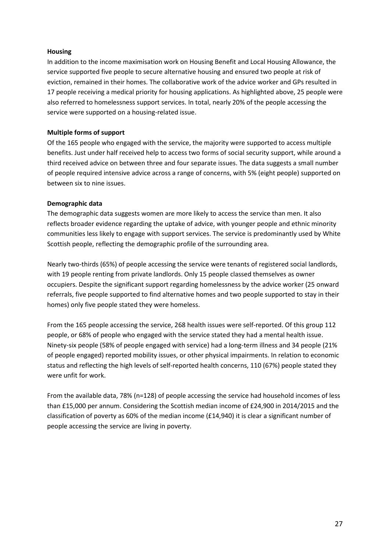#### **Housing**

In addition to the income maximisation work on Housing Benefit and Local Housing Allowance, the service supported five people to secure alternative housing and ensured two people at risk of eviction, remained in their homes. The collaborative work of the advice worker and GPs resulted in 17 people receiving a medical priority for housing applications. As highlighted above, 25 people were also referred to homelessness support services. In total, nearly 20% of the people accessing the service were supported on a housing-related issue.

## **Multiple forms of support**

Of the 165 people who engaged with the service, the majority were supported to access multiple benefits. Just under half received help to access two forms of social security support, while around a third received advice on between three and four separate issues. The data suggests a small number of people required intensive advice across a range of concerns, with 5% (eight people) supported on between six to nine issues.

#### **Demographic data**

The demographic data suggests women are more likely to access the service than men. It also reflects broader evidence regarding the uptake of advice, with younger people and ethnic minority communities less likely to engage with support services. The service is predominantly used by White Scottish people, reflecting the demographic profile of the surrounding area.

Nearly two-thirds (65%) of people accessing the service were tenants of registered social landlords, with 19 people renting from private landlords. Only 15 people classed themselves as owner occupiers. Despite the significant support regarding homelessness by the advice worker (25 onward referrals, five people supported to find alternative homes and two people supported to stay in their homes) only five people stated they were homeless.

From the 165 people accessing the service, 268 health issues were self-reported. Of this group 112 people, or 68% of people who engaged with the service stated they had a mental health issue. Ninety-six people (58% of people engaged with service) had a long-term illness and 34 people (21% of people engaged) reported mobility issues, or other physical impairments. In relation to economic status and reflecting the high levels of self-reported health concerns, 110 (67%) people stated they were unfit for work.

From the available data, 78% (n=128) of people accessing the service had household incomes of less than £15,000 per annum. Considering the Scottish median income of £24,900 in 2014/2015 and the classification of poverty as 60% of the median income (£14,940) it is clear a significant number of people accessing the service are living in poverty.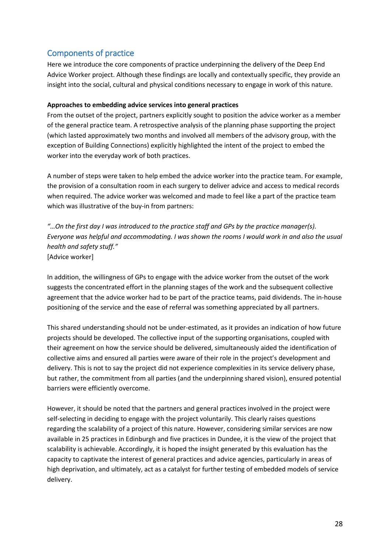# <span id="page-27-0"></span>Components of practice

Here we introduce the core components of practice underpinning the delivery of the Deep End Advice Worker project. Although these findings are locally and contextually specific, they provide an insight into the social, cultural and physical conditions necessary to engage in work of this nature.

# **Approaches to embedding advice services into general practices**

From the outset of the project, partners explicitly sought to position the advice worker as a member of the general practice team. A retrospective analysis of the planning phase supporting the project (which lasted approximately two months and involved all members of the advisory group, with the exception of Building Connections) explicitly highlighted the intent of the project to embed the worker into the everyday work of both practices.

A number of steps were taken to help embed the advice worker into the practice team. For example, the provision of a consultation room in each surgery to deliver advice and access to medical records when required. The advice worker was welcomed and made to feel like a part of the practice team which was illustrative of the buy-in from partners:

*"…On the first day I was introduced to the practice staff and GPs by the practice manager(s). Everyone was helpful and accommodating. I was shown the rooms I would work in and also the usual health and safety stuff."*  [Advice worker]

In addition, the willingness of GPs to engage with the advice worker from the outset of the work suggests the concentrated effort in the planning stages of the work and the subsequent collective agreement that the advice worker had to be part of the practice teams, paid dividends. The in-house positioning of the service and the ease of referral was something appreciated by all partners.

This shared understanding should not be under-estimated, as it provides an indication of how future projects should be developed. The collective input of the supporting organisations, coupled with their agreement on how the service should be delivered, simultaneously aided the identification of collective aims and ensured all parties were aware of their role in the project's development and delivery. This is not to say the project did not experience complexities in its service delivery phase, but rather, the commitment from all parties (and the underpinning shared vision), ensured potential barriers were efficiently overcome.

However, it should be noted that the partners and general practices involved in the project were self-selecting in deciding to engage with the project voluntarily. This clearly raises questions regarding the scalability of a project of this nature. However, considering similar services are now available in 25 practices in Edinburgh and five practices in Dundee, it is the view of the project that scalability is achievable. Accordingly, it is hoped the insight generated by this evaluation has the capacity to captivate the interest of general practices and advice agencies, particularly in areas of high deprivation, and ultimately, act as a catalyst for further testing of embedded models of service delivery.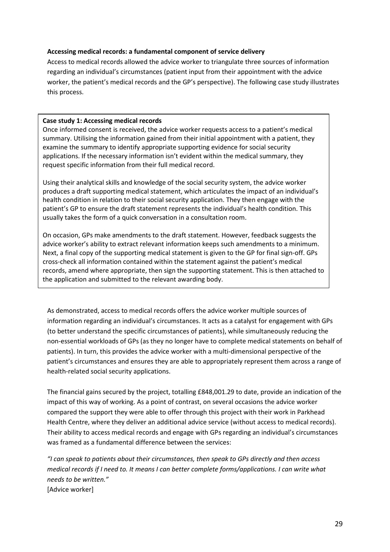#### **Accessing medical records: a fundamental component of service delivery**

Access to medical records allowed the advice worker to triangulate three sources of information regarding an individual's circumstances (patient input from their appointment with the advice worker, the patient's medical records and the GP's perspective). The following case study illustrates this process.

#### **Case study 1: Accessing medical records**

Once informed consent is received, the advice worker requests access to a patient's medical summary. Utilising the information gained from their initial appointment with a patient, they examine the summary to identify appropriate supporting evidence for social security applications. If the necessary information isn't evident within the medical summary, they request specific information from their full medical record.

Using their analytical skills and knowledge of the social security system, the advice worker produces a draft supporting medical statement, which articulates the impact of an individual's health condition in relation to their social security application. They then engage with the patient's GP to ensure the draft statement represents the individual's health condition. This usually takes the form of a quick conversation in a consultation room.

On occasion, GPs make amendments to the draft statement. However, feedback suggests the advice worker's ability to extract relevant information keeps such amendments to a minimum. Next, a final copy of the supporting medical statement is given to the GP for final sign-off. GPs cross-check all information contained within the statement against the patient's medical records, amend where appropriate, then sign the supporting statement. This is then attached to the application and submitted to the relevant awarding body.

As demonstrated, access to medical records offers the advice worker multiple sources of information regarding an individual's circumstances. It acts as a catalyst for engagement with GPs (to better understand the specific circumstances of patients), while simultaneously reducing the non-essential workloads of GPs (as they no longer have to complete medical statements on behalf of patients). In turn, this provides the advice worker with a multi-dimensional perspective of the patient's circumstances and ensures they are able to appropriately represent them across a range of health-related social security applications.

The financial gains secured by the project, totalling £848,001.29 to date, provide an indication of the impact of this way of working. As a point of contrast, on several occasions the advice worker compared the support they were able to offer through this project with their work in Parkhead Health Centre, where they deliver an additional advice service (without access to medical records). Their ability to access medical records and engage with GPs regarding an individual's circumstances was framed as a fundamental difference between the services:

*"I can speak to patients about their circumstances, then speak to GPs directly and then access medical records if I need to. It means I can better complete forms/applications. I can write what needs to be written."* [Advice worker]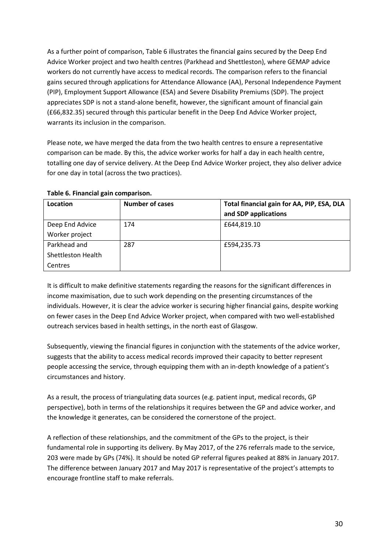As a further point of comparison, Table 6 illustrates the financial gains secured by the Deep End Advice Worker project and two health centres (Parkhead and Shettleston), where GEMAP advice workers do not currently have access to medical records. The comparison refers to the financial gains secured through applications for Attendance Allowance (AA), Personal Independence Payment (PIP), Employment Support Allowance (ESA) and Severe Disability Premiums (SDP). The project appreciates SDP is not a stand-alone benefit, however, the significant amount of financial gain (£66,832.35) secured through this particular benefit in the Deep End Advice Worker project, warrants its inclusion in the comparison.

Please note, we have merged the data from the two health centres to ensure a representative comparison can be made. By this, the advice worker works for half a day in each health centre, totalling one day of service delivery. At the Deep End Advice Worker project, they also deliver advice for one day in total (across the two practices).

# **Table 6. Financial gain comparison.**

| Location           | <b>Number of cases</b> | Total financial gain for AA, PIP, ESA, DLA |
|--------------------|------------------------|--------------------------------------------|
|                    |                        | and SDP applications                       |
| Deep End Advice    | 174                    | £644,819.10                                |
| Worker project     |                        |                                            |
| Parkhead and       | 287                    | £594,235.73                                |
| Shettleston Health |                        |                                            |
| Centres            |                        |                                            |

It is difficult to make definitive statements regarding the reasons for the significant differences in income maximisation, due to such work depending on the presenting circumstances of the individuals. However, it is clear the advice worker is securing higher financial gains, despite working on fewer cases in the Deep End Advice Worker project, when compared with two well-established outreach services based in health settings, in the north east of Glasgow.

Subsequently, viewing the financial figures in conjunction with the statements of the advice worker, suggests that the ability to access medical records improved their capacity to better represent people accessing the service, through equipping them with an in-depth knowledge of a patient's circumstances and history.

As a result, the process of triangulating data sources (e.g. patient input, medical records, GP perspective), both in terms of the relationships it requires between the GP and advice worker, and the knowledge it generates, can be considered the cornerstone of the project.

A reflection of these relationships, and the commitment of the GPs to the project, is their fundamental role in supporting its delivery. By May 2017, of the 276 referrals made to the service, 203 were made by GPs (74%). It should be noted GP referral figures peaked at 88% in January 2017. The difference between January 2017 and May 2017 is representative of the project's attempts to encourage frontline staff to make referrals.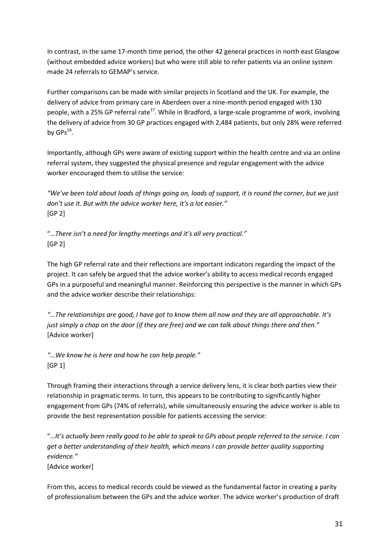In contrast, in the same 17-month time period, the other 42 general practices in north east Glasgow (without embedded advice workers) but who were still able to refer patients via an online system made 24 referrals to GEMAP's service.

Further comparisons can be made with similar projects in Scotland and the UK. For example, the delivery of advice from primary care in Aberdeen over a nine-month period engaged with 130 people, with a 25% GP referral rate<sup>17</sup>. While in Bradford, a large-scale programme of work, involving the delivery of advice from 30 GP practices engaged with 2,484 patients, but only 28% were referred by  $GPs^{18}$ .

Importantly, although GPs were aware of existing support within the health centre and via an online referral system, they suggested the physical presence and regular engagement with the advice worker encouraged them to utilise the service:

*"We've been told about loads of things going on, loads of support, it is round the corner, but we just don't use it. But with the advice worker here, it's a lot easier."* [GP 2]

"…*There isn't a need for lengthy meetings and it's all very practical."*  [GP 2]

The high GP referral rate and their reflections are important indicators regarding the impact of the project. It can safely be argued that the advice worker's ability to access medical records engaged GPs in a purposeful and meaningful manner. Reinforcing this perspective is the manner in which GPs and the advice worker describe their relationships:

*"…The relationships are good, I have got to know them all now and they are all approachable. It's just simply a chap on the door (if they are free) and we can talk about things there and then."* [Advice worker]

*"…We know he is here and how he can help people."* [GP 1]

Through framing their interactions through a service delivery lens, it is clear both parties view their relationship in pragmatic terms. In turn, this appears to be contributing to significantly higher engagement from GPs (74% of referrals), while simultaneously ensuring the advice worker is able to provide the best representation possible for patients accessing the service:

"…*It's actually been really good to be able to speak to GPs about people referred to the service. I can get a better understanding of their health, which means I can provide better quality supporting evidence."* 

[Advice worker]

From this, access to medical records could be viewed as the fundamental factor in creating a parity of professionalism between the GPs and the advice worker. The advice worker's production of draft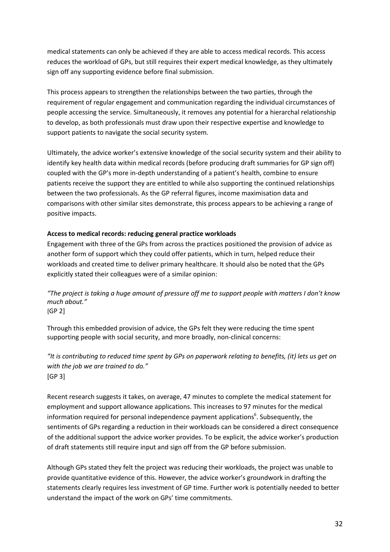medical statements can only be achieved if they are able to access medical records. This access reduces the workload of GPs, but still requires their expert medical knowledge, as they ultimately sign off any supporting evidence before final submission.

This process appears to strengthen the relationships between the two parties, through the requirement of regular engagement and communication regarding the individual circumstances of people accessing the service. Simultaneously, it removes any potential for a hierarchal relationship to develop, as both professionals must draw upon their respective expertise and knowledge to support patients to navigate the social security system.

Ultimately, the advice worker's extensive knowledge of the social security system and their ability to identify key health data within medical records (before producing draft summaries for GP sign off) coupled with the GP's more in-depth understanding of a patient's health, combine to ensure patients receive the support they are entitled to while also supporting the continued relationships between the two professionals. As the GP referral figures, income maximisation data and comparisons with other similar sites demonstrate, this process appears to be achieving a range of positive impacts.

# **Access to medical records: reducing general practice workloads**

Engagement with three of the GPs from across the practices positioned the provision of advice as another form of support which they could offer patients, which in turn, helped reduce their workloads and created time to deliver primary healthcare. It should also be noted that the GPs explicitly stated their colleagues were of a similar opinion:

*"The project is taking a huge amount of pressure off me to support people with matters I don't know much about."* [GP 2]

Through this embedded provision of advice, the GPs felt they were reducing the time spent supporting people with social security, and more broadly, non-clinical concerns:

*"It is contributing to reduced time spent by GPs on paperwork relating to benefits, (it) lets us get on with the job we are trained to do."* [GP 3]

Recent research suggests it takes, on average, 47 minutes to complete the medical statement for employment and support allowance applications. This increases to 97 minutes for the medical information required for personal independence payment applications<sup>6</sup>. Subsequently, the sentiments of GPs regarding a reduction in their workloads can be considered a direct consequence of the additional support the advice worker provides. To be explicit, the advice worker's production of draft statements still require input and sign off from the GP before submission.

Although GPs stated they felt the project was reducing their workloads, the project was unable to provide quantitative evidence of this. However, the advice worker's groundwork in drafting the statements clearly requires less investment of GP time. Further work is potentially needed to better understand the impact of the work on GPs' time commitments.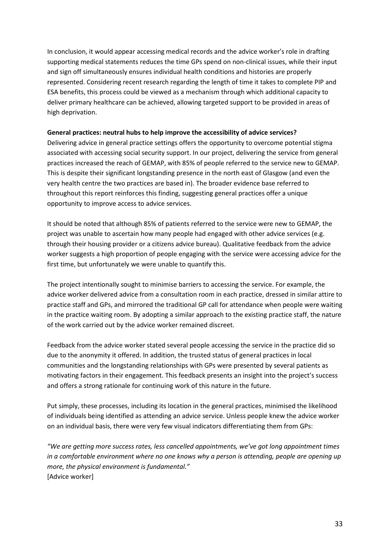In conclusion, it would appear accessing medical records and the advice worker's role in drafting supporting medical statements reduces the time GPs spend on non-clinical issues, while their input and sign off simultaneously ensures individual health conditions and histories are properly represented. Considering recent research regarding the length of time it takes to complete PIP and ESA benefits, this process could be viewed as a mechanism through which additional capacity to deliver primary healthcare can be achieved, allowing targeted support to be provided in areas of high deprivation.

#### **General practices: neutral hubs to help improve the accessibility of advice services?**

Delivering advice in general practice settings offers the opportunity to overcome potential stigma associated with accessing social security support. In our project, delivering the service from general practices increased the reach of GEMAP, with 85% of people referred to the service new to GEMAP. This is despite their significant longstanding presence in the north east of Glasgow (and even the very health centre the two practices are based in). The broader evidence base referred to throughout this report reinforces this finding, suggesting general practices offer a unique opportunity to improve access to advice services.

It should be noted that although 85% of patients referred to the service were new to GEMAP, the project was unable to ascertain how many people had engaged with other advice services (e.g. through their housing provider or a citizens advice bureau). Qualitative feedback from the advice worker suggests a high proportion of people engaging with the service were accessing advice for the first time, but unfortunately we were unable to quantify this.

The project intentionally sought to minimise barriers to accessing the service. For example, the advice worker delivered advice from a consultation room in each practice, dressed in similar attire to practice staff and GPs, and mirrored the traditional GP call for attendance when people were waiting in the practice waiting room. By adopting a similar approach to the existing practice staff, the nature of the work carried out by the advice worker remained discreet.

Feedback from the advice worker stated several people accessing the service in the practice did so due to the anonymity it offered. In addition, the trusted status of general practices in local communities and the longstanding relationships with GPs were presented by several patients as motivating factors in their engagement. This feedback presents an insight into the project's success and offers a strong rationale for continuing work of this nature in the future.

Put simply, these processes, including its location in the general practices, minimised the likelihood of individuals being identified as attending an advice service. Unless people knew the advice worker on an individual basis, there were very few visual indicators differentiating them from GPs:

*"We are getting more success rates, less cancelled appointments, we've got long appointment times in a comfortable environment where no one knows why a person is attending, people are opening up more, the physical environment is fundamental."* [Advice worker]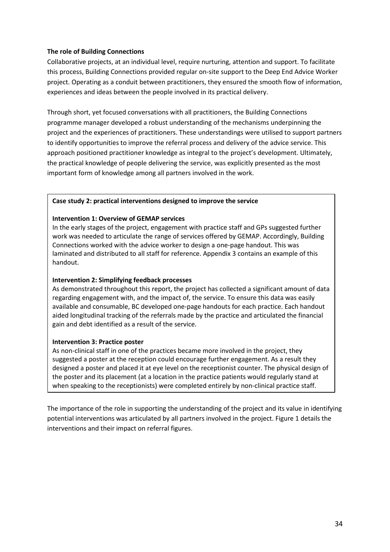#### **The role of Building Connections**

Collaborative projects, at an individual level, require nurturing, attention and support. To facilitate this process, Building Connections provided regular on-site support to the Deep End Advice Worker project. Operating as a conduit between practitioners, they ensured the smooth flow of information, experiences and ideas between the people involved in its practical delivery.

Through short, yet focused conversations with all practitioners, the Building Connections programme manager developed a robust understanding of the mechanisms underpinning the project and the experiences of practitioners. These understandings were utilised to support partners to identify opportunities to improve the referral process and delivery of the advice service. This approach positioned practitioner knowledge as integral to the project's development. Ultimately, the practical knowledge of people delivering the service, was explicitly presented as the most important form of knowledge among all partners involved in the work.

#### **Case study 2: practical interventions designed to improve the service**

#### **Intervention 1: Overview of GEMAP services**

In the early stages of the project, engagement with practice staff and GPs suggested further work was needed to articulate the range of services offered by GEMAP. Accordingly, Building Connections worked with the advice worker to design a one-page handout. This was laminated and distributed to all staff for reference. Appendix 3 contains an example of this handout.

#### **Intervention 2: Simplifying feedback processes**

As demonstrated throughout this report, the project has collected a significant amount of data regarding engagement with, and the impact of, the service. To ensure this data was easily available and consumable, BC developed one-page handouts for each practice. Each handout aided longitudinal tracking of the referrals made by the practice and articulated the financial gain and debt identified as a result of the service.

#### **Intervention 3: Practice poster**

As non-clinical staff in one of the practices became more involved in the project, they suggested a poster at the reception could encourage further engagement. As a result they designed a poster and placed it at eye level on the receptionist counter. The physical design of the poster and its placement (at a location in the practice patients would regularly stand at when speaking to the receptionists) were completed entirely by non-clinical practice staff.

The importance of the role in supporting the understanding of the project and its value in identifying potential interventions was articulated by all partners involved in the project. Figure 1 details the interventions and their impact on referral figures.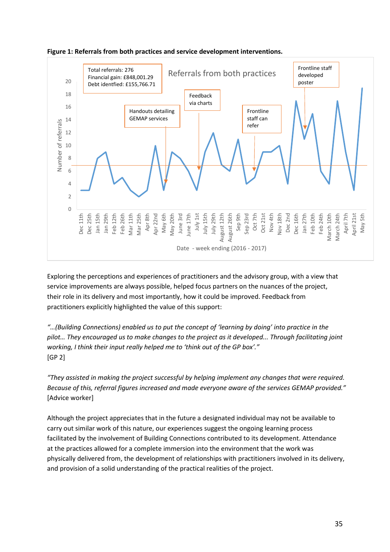

**Figure 1: Referrals from both practices and service development interventions.**

Exploring the perceptions and experiences of practitioners and the advisory group, with a view that service improvements are always possible, helped focus partners on the nuances of the project, their role in its delivery and most importantly, how it could be improved. Feedback from practitioners explicitly highlighted the value of this support:

*"…(Building Connections) enabled us to put the concept of 'learning by doing' into practice in the pilot… They encouraged us to make changes to the project as it developed... Through facilitating joint working, I think their input really helped me to 'think out of the GP box'."* [GP 2]

*"They assisted in making the project successful by helping implement any changes that were required. Because of this, referral figures increased and made everyone aware of the services GEMAP provided."* [Advice worker]

Although the project appreciates that in the future a designated individual may not be available to carry out similar work of this nature, our experiences suggest the ongoing learning process facilitated by the involvement of Building Connections contributed to its development. Attendance at the practices allowed for a complete immersion into the environment that the work was physically delivered from, the development of relationships with practitioners involved in its delivery, and provision of a solid understanding of the practical realities of the project.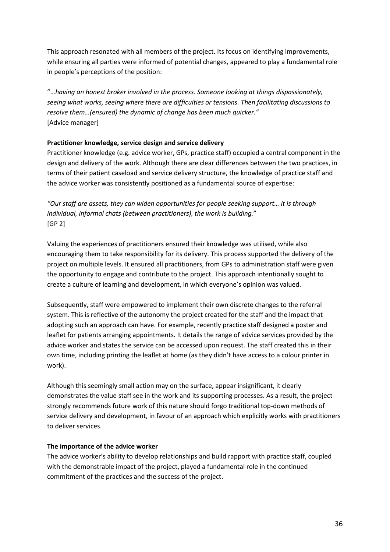This approach resonated with all members of the project. Its focus on identifying improvements, while ensuring all parties were informed of potential changes, appeared to play a fundamental role in people's perceptions of the position:

"…*having an honest broker involved in the process. Someone looking at things dispassionately, seeing what works, seeing where there are difficulties or tensions. Then facilitating discussions to resolve them…(ensured) the dynamic of change has been much quicker."* [Advice manager]

# **Practitioner knowledge, service design and service delivery**

Practitioner knowledge (e.g. advice worker, GPs, practice staff) occupied a central component in the design and delivery of the work. Although there are clear differences between the two practices, in terms of their patient caseload and service delivery structure, the knowledge of practice staff and the advice worker was consistently positioned as a fundamental source of expertise:

*"Our staff are assets, they can widen opportunities for people seeking support… it is through individual, informal chats (between practitioners), the work is building.*" [GP 2]

Valuing the experiences of practitioners ensured their knowledge was utilised, while also encouraging them to take responsibility for its delivery. This process supported the delivery of the project on multiple levels. It ensured all practitioners, from GPs to administration staff were given the opportunity to engage and contribute to the project. This approach intentionally sought to create a culture of learning and development, in which everyone's opinion was valued.

Subsequently, staff were empowered to implement their own discrete changes to the referral system. This is reflective of the autonomy the project created for the staff and the impact that adopting such an approach can have. For example, recently practice staff designed a poster and leaflet for patients arranging appointments. It details the range of advice services provided by the advice worker and states the service can be accessed upon request. The staff created this in their own time, including printing the leaflet at home (as they didn't have access to a colour printer in work).

Although this seemingly small action may on the surface, appear insignificant, it clearly demonstrates the value staff see in the work and its supporting processes. As a result, the project strongly recommends future work of this nature should forgo traditional top-down methods of service delivery and development, in favour of an approach which explicitly works with practitioners to deliver services.

# **The importance of the advice worker**

The advice worker's ability to develop relationships and build rapport with practice staff, coupled with the demonstrable impact of the project, played a fundamental role in the continued commitment of the practices and the success of the project.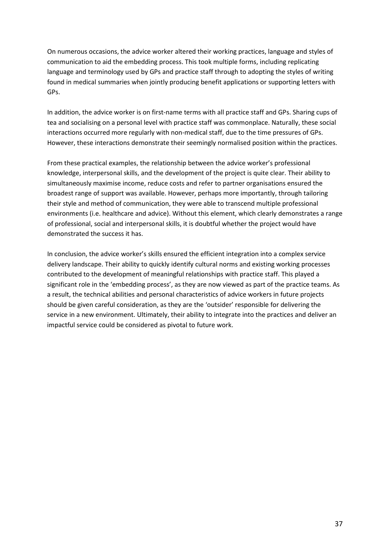On numerous occasions, the advice worker altered their working practices, language and styles of communication to aid the embedding process. This took multiple forms, including replicating language and terminology used by GPs and practice staff through to adopting the styles of writing found in medical summaries when jointly producing benefit applications or supporting letters with GPs.

In addition, the advice worker is on first-name terms with all practice staff and GPs. Sharing cups of tea and socialising on a personal level with practice staff was commonplace. Naturally, these social interactions occurred more regularly with non-medical staff, due to the time pressures of GPs. However, these interactions demonstrate their seemingly normalised position within the practices.

From these practical examples, the relationship between the advice worker's professional knowledge, interpersonal skills, and the development of the project is quite clear. Their ability to simultaneously maximise income, reduce costs and refer to partner organisations ensured the broadest range of support was available. However, perhaps more importantly, through tailoring their style and method of communication, they were able to transcend multiple professional environments (i.e. healthcare and advice). Without this element, which clearly demonstrates a range of professional, social and interpersonal skills, it is doubtful whether the project would have demonstrated the success it has.

In conclusion, the advice worker's skills ensured the efficient integration into a complex service delivery landscape. Their ability to quickly identify cultural norms and existing working processes contributed to the development of meaningful relationships with practice staff. This played a significant role in the 'embedding process', as they are now viewed as part of the practice teams. As a result, the technical abilities and personal characteristics of advice workers in future projects should be given careful consideration, as they are the 'outsider' responsible for delivering the service in a new environment. Ultimately, their ability to integrate into the practices and deliver an impactful service could be considered as pivotal to future work.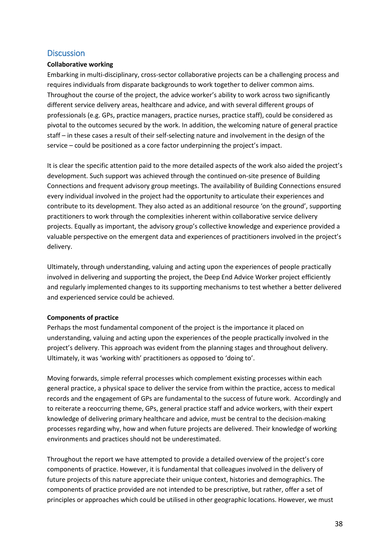# <span id="page-37-0"></span>**Discussion**

# **Collaborative working**

Embarking in multi-disciplinary, cross-sector collaborative projects can be a challenging process and requires individuals from disparate backgrounds to work together to deliver common aims. Throughout the course of the project, the advice worker's ability to work across two significantly different service delivery areas, healthcare and advice, and with several different groups of professionals (e.g. GPs, practice managers, practice nurses, practice staff), could be considered as pivotal to the outcomes secured by the work. In addition, the welcoming nature of general practice staff – in these cases a result of their self-selecting nature and involvement in the design of the service – could be positioned as a core factor underpinning the project's impact.

It is clear the specific attention paid to the more detailed aspects of the work also aided the project's development. Such support was achieved through the continued on-site presence of Building Connections and frequent advisory group meetings. The availability of Building Connections ensured every individual involved in the project had the opportunity to articulate their experiences and contribute to its development. They also acted as an additional resource 'on the ground', supporting practitioners to work through the complexities inherent within collaborative service delivery projects. Equally as important, the advisory group's collective knowledge and experience provided a valuable perspective on the emergent data and experiences of practitioners involved in the project's delivery.

Ultimately, through understanding, valuing and acting upon the experiences of people practically involved in delivering and supporting the project, the Deep End Advice Worker project efficiently and regularly implemented changes to its supporting mechanisms to test whether a better delivered and experienced service could be achieved.

# **Components of practice**

Perhaps the most fundamental component of the project is the importance it placed on understanding, valuing and acting upon the experiences of the people practically involved in the project's delivery. This approach was evident from the planning stages and throughout delivery. Ultimately, it was 'working with' practitioners as opposed to 'doing to'.

Moving forwards, simple referral processes which complement existing processes within each general practice, a physical space to deliver the service from within the practice, access to medical records and the engagement of GPs are fundamental to the success of future work. Accordingly and to reiterate a reoccurring theme, GPs, general practice staff and advice workers, with their expert knowledge of delivering primary healthcare and advice, must be central to the decision-making processes regarding why, how and when future projects are delivered. Their knowledge of working environments and practices should not be underestimated.

Throughout the report we have attempted to provide a detailed overview of the project's core components of practice. However, it is fundamental that colleagues involved in the delivery of future projects of this nature appreciate their unique context, histories and demographics. The components of practice provided are not intended to be prescriptive, but rather, offer a set of principles or approaches which could be utilised in other geographic locations. However, we must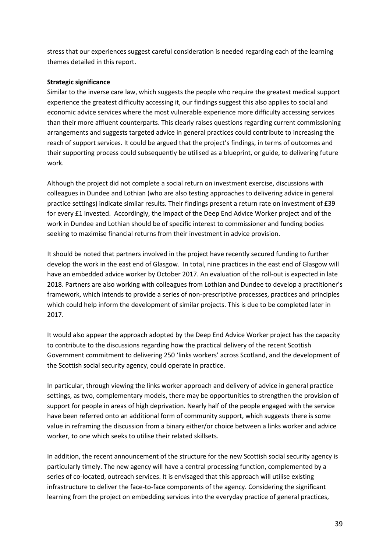stress that our experiences suggest careful consideration is needed regarding each of the learning themes detailed in this report.

#### **Strategic significance**

Similar to the inverse care law, which suggests the people who require the greatest medical support experience the greatest difficulty accessing it, our findings suggest this also applies to social and economic advice services where the most vulnerable experience more difficulty accessing services than their more affluent counterparts. This clearly raises questions regarding current commissioning arrangements and suggests targeted advice in general practices could contribute to increasing the reach of support services. It could be argued that the project's findings, in terms of outcomes and their supporting process could subsequently be utilised as a blueprint, or guide, to delivering future work.

Although the project did not complete a social return on investment exercise, discussions with colleagues in Dundee and Lothian (who are also testing approaches to delivering advice in general practice settings) indicate similar results. Their findings present a return rate on investment of £39 for every £1 invested. Accordingly, the impact of the Deep End Advice Worker project and of the work in Dundee and Lothian should be of specific interest to commissioner and funding bodies seeking to maximise financial returns from their investment in advice provision.

It should be noted that partners involved in the project have recently secured funding to further develop the work in the east end of Glasgow. In total, nine practices in the east end of Glasgow will have an embedded advice worker by October 2017. An evaluation of the roll-out is expected in late 2018. Partners are also working with colleagues from Lothian and Dundee to develop a practitioner's framework, which intends to provide a series of non-prescriptive processes, practices and principles which could help inform the development of similar projects. This is due to be completed later in 2017.

It would also appear the approach adopted by the Deep End Advice Worker project has the capacity to contribute to the discussions regarding how the practical delivery of the recent Scottish Government commitment to delivering 250 'links workers' across Scotland, and the development of the Scottish social security agency, could operate in practice.

In particular, through viewing the links worker approach and delivery of advice in general practice settings, as two, complementary models, there may be opportunities to strengthen the provision of support for people in areas of high deprivation. Nearly half of the people engaged with the service have been referred onto an additional form of community support, which suggests there is some value in reframing the discussion from a binary either/or choice between a links worker and advice worker, to one which seeks to utilise their related skillsets.

In addition, the recent announcement of the structure for the new Scottish social security agency is particularly timely. The new agency will have a central processing function, complemented by a series of co-located, outreach services. It is envisaged that this approach will utilise existing infrastructure to deliver the face-to-face components of the agency. Considering the significant learning from the project on embedding services into the everyday practice of general practices,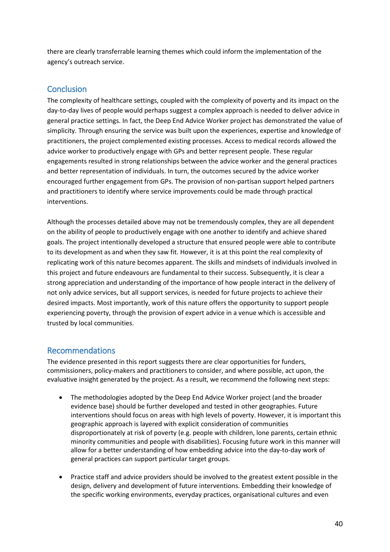there are clearly transferrable learning themes which could inform the implementation of the agency's outreach service.

# <span id="page-39-0"></span>**Conclusion**

The complexity of healthcare settings, coupled with the complexity of poverty and its impact on the day-to-day lives of people would perhaps suggest a complex approach is needed to deliver advice in general practice settings. In fact, the Deep End Advice Worker project has demonstrated the value of simplicity. Through ensuring the service was built upon the experiences, expertise and knowledge of practitioners, the project complemented existing processes. Access to medical records allowed the advice worker to productively engage with GPs and better represent people. These regular engagements resulted in strong relationships between the advice worker and the general practices and better representation of individuals. In turn, the outcomes secured by the advice worker encouraged further engagement from GPs. The provision of non-partisan support helped partners and practitioners to identify where service improvements could be made through practical interventions.

Although the processes detailed above may not be tremendously complex, they are all dependent on the ability of people to productively engage with one another to identify and achieve shared goals. The project intentionally developed a structure that ensured people were able to contribute to its development as and when they saw fit. However, it is at this point the real complexity of replicating work of this nature becomes apparent. The skills and mindsets of individuals involved in this project and future endeavours are fundamental to their success. Subsequently, it is clear a strong appreciation and understanding of the importance of how people interact in the delivery of not only advice services, but all support services, is needed for future projects to achieve their desired impacts. Most importantly, work of this nature offers the opportunity to support people experiencing poverty, through the provision of expert advice in a venue which is accessible and trusted by local communities.

# <span id="page-39-1"></span>Recommendations

The evidence presented in this report suggests there are clear opportunities for funders, commissioners, policy-makers and practitioners to consider, and where possible, act upon, the evaluative insight generated by the project. As a result, we recommend the following next steps:

- The methodologies adopted by the Deep End Advice Worker project (and the broader evidence base) should be further developed and tested in other geographies. Future interventions should focus on areas with high levels of poverty. However, it is important this geographic approach is layered with explicit consideration of communities disproportionately at risk of poverty (e.g. people with children, lone parents, certain ethnic minority communities and people with disabilities). Focusing future work in this manner will allow for a better understanding of how embedding advice into the day-to-day work of general practices can support particular target groups.
- Practice staff and advice providers should be involved to the greatest extent possible in the design, delivery and development of future interventions. Embedding their knowledge of the specific working environments, everyday practices, organisational cultures and even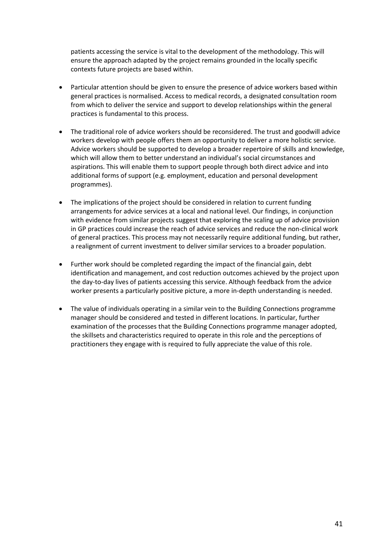patients accessing the service is vital to the development of the methodology. This will ensure the approach adapted by the project remains grounded in the locally specific contexts future projects are based within.

- Particular attention should be given to ensure the presence of advice workers based within general practices is normalised. Access to medical records, a designated consultation room from which to deliver the service and support to develop relationships within the general practices is fundamental to this process.
- The traditional role of advice workers should be reconsidered. The trust and goodwill advice workers develop with people offers them an opportunity to deliver a more holistic service. Advice workers should be supported to develop a broader repertoire of skills and knowledge, which will allow them to better understand an individual's social circumstances and aspirations. This will enable them to support people through both direct advice and into additional forms of support (e.g. employment, education and personal development programmes).
- The implications of the project should be considered in relation to current funding arrangements for advice services at a local and national level. Our findings, in conjunction with evidence from similar projects suggest that exploring the scaling up of advice provision in GP practices could increase the reach of advice services and reduce the non-clinical work of general practices. This process may not necessarily require additional funding, but rather, a realignment of current investment to deliver similar services to a broader population.
- Further work should be completed regarding the impact of the financial gain, debt identification and management, and cost reduction outcomes achieved by the project upon the day-to-day lives of patients accessing this service. Although feedback from the advice worker presents a particularly positive picture, a more in-depth understanding is needed.
- The value of individuals operating in a similar vein to the Building Connections programme manager should be considered and tested in different locations. In particular, further examination of the processes that the Building Connections programme manager adopted, the skillsets and characteristics required to operate in this role and the perceptions of practitioners they engage with is required to fully appreciate the value of this role.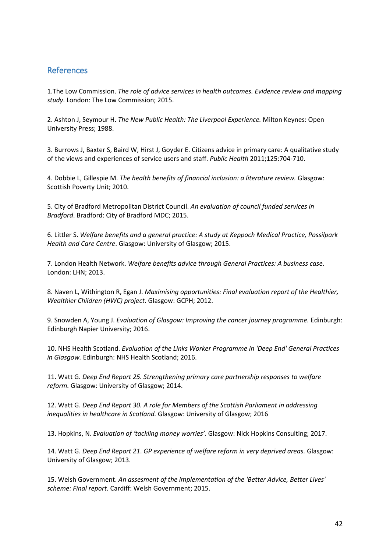# <span id="page-41-0"></span>References

1.The Low Commission. *The role of advice services in health outcomes. Evidence review and mapping study*. London: The Low Commission; 2015.

2. Ashton J, Seymour H. *The New Public Health: The Liverpool Experience.* Milton Keynes: Open University Press; 1988.

3. Burrows J, Baxter S, Baird W, Hirst J, Goyder E. Citizens advice in primary care: A qualitative study of the views and experiences of service users and staff. *Public Health* 2011;125:704-710.

4. Dobbie L, Gillespie M. *The health benefits of financial inclusion: a literature review.* Glasgow: Scottish Poverty Unit; 2010.

5. City of Bradford Metropolitan District Council. *An evaluation of council funded services in Bradford*. Bradford: City of Bradford MDC; 2015.

6. Littler S. *Welfare benefits and a general practice: A study at Keppoch Medical Practice, Possilpark Health and Care Centre*. Glasgow: University of Glasgow; 2015.

7. London Health Network. *Welfare benefits advice through General Practices: A business case*. London: LHN; 2013.

8. Naven L, Withington R, Egan J. *Maximising opportunities: Final evaluation report of the Healthier, Wealthier Children (HWC) project*. Glasgow: GCPH; 2012.

9. Snowden A, Young J. *Evaluation of Glasgow: Improving the cancer journey programme.* Edinburgh: Edinburgh Napier University; 2016.

10. NHS Health Scotland. *Evaluation of the Links Worker Programme in 'Deep End' General Practices in Glasgow.* Edinburgh: NHS Health Scotland; 2016.

11. Watt G. *Deep End Report 25. Strengthening primary care partnership responses to welfare reform.* Glasgow: University of Glasgow; 2014.

12. Watt G. *Deep End Report 30. A role for Members of the Scottish Parliament in addressing inequalities in healthcare in Scotland.* Glasgow: University of Glasgow; 2016

13. Hopkins, N*. Evaluation of 'tackling money worries'.* Glasgow: Nick Hopkins Consulting; 2017.

14. Watt G. *Deep End Report 21*. *GP experience of welfare reform in very deprived areas.* Glasgow: University of Glasgow; 2013.

15. Welsh Government. *An assesment of the implementation of the 'Better Advice, Better Lives' scheme: Final report.* Cardiff: Welsh Government; 2015.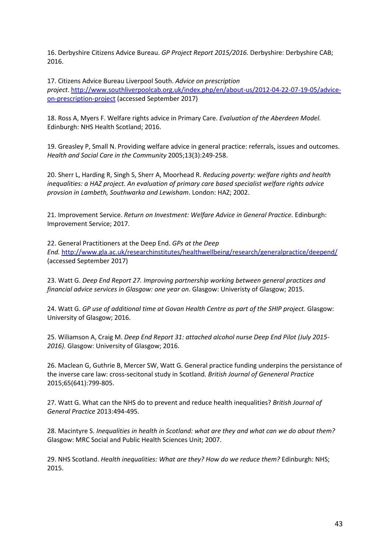16. Derbyshire Citizens Advice Bureau. *GP Project Report 2015/2016.* Derbyshire: Derbyshire CAB; 2016.

17. Citizens Advice Bureau Liverpool South. *Advice on prescription project*[. http://www.southliverpoolcab.org.uk/index.php/en/about-us/2012-04-22-07-19-05/advice](http://www.southliverpoolcab.org.uk/index.php/en/about-us/2012-04-22-07-19-05/advice-on-prescription-project)[on-prescription-project](http://www.southliverpoolcab.org.uk/index.php/en/about-us/2012-04-22-07-19-05/advice-on-prescription-project) (accessed September 2017)

18. Ross A, Myers F. Welfare rights advice in Primary Care. *Evaluation of the Aberdeen Model.* Edinburgh: NHS Health Scotland; 2016.

19. Greasley P, Small N. Providing welfare advice in general practice: referrals, issues and outcomes. *Health and Social Care in the Community* 2005;13(3):249-258.

20. Sherr L, Harding R, Singh S, Sherr A, Moorhead R. *Reducing poverty: welfare rights and health inequalities: a HAZ project. An evaluation of primary care based specialist welfare rights advice provsion in Lambeth, Southwarka and Lewisham*. London: HAZ; 2002.

21. Improvement Service. *Return on Investment: Welfare Advice in General Practice.* Edinburgh: Improvement Service; 2017.

22. General Practitioners at the Deep End. *GPs at the Deep End.* <http://www.gla.ac.uk/researchinstitutes/healthwellbeing/research/generalpractice/deepend/> (accessed September 2017)

23. Watt G. *Deep End Report 27. Improving partnership working between general practices and financial advice services in Glasgow: one year on*. Glasgow: Univeristy of Glasgow; 2015.

24. Watt G. *GP use of additional time at Govan Health Centre as part of the SHIP project.* Glasgow: University of Glasgow; 2016.

25. Wiliamson A, Craig M. *Deep End Report 31: attached alcohol nurse Deep End Pilot (July 2015- 2016).* Glasgow: University of Glasgow; 2016.

26. Maclean G, Guthrie B, Mercer SW, Watt G. General practice funding underpins the persistance of the inverse care law: cross-secitonal study in Scotland. *British Journal of Geneneral Practice* 2015;65(641):799-805.

27. Watt G. What can the NHS do to prevent and reduce health inequalities? *British Journal of General Practice* 2013:494-495.

28. Macintyre S. *Inequalities in health in Scotland: what are they and what can we do about them?*  Glasgow: MRC Social and Public Health Sciences Unit; 2007.

29. NHS Scotland. *Health inequalities: What are they? How do we reduce them?* Edinburgh: NHS; 2015.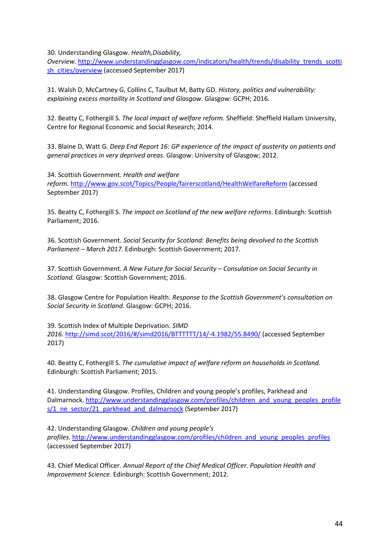30. Understanding Glasgow. *Health,Disability,* 

*Overview.* [http://www.understandingglasgow.com/indicators/health/trends/disability\\_trends\\_scotti](http://www.understandingglasgow.com/indicators/health/trends/disability_trends_scottish_cities/overview) [sh\\_cities/overview](http://www.understandingglasgow.com/indicators/health/trends/disability_trends_scottish_cities/overview) (accessed September 2017)

31. Walsh D, McCartney G, Collins C, Taulbut M, Batty GD. *History, politics and vulnerability: explaining excess mortaility in Scotland and Glasgow.* Glasgow: GCPH; 2016.

32. Beatty C, Fothergill S. *The local impact of welfare reform.* Sheffield: Sheffield Hallam University, Centre for Regional Economic and Social Research; 2014.

33. Blaine D, Watt G. *Deep End Report 16: GP experience of the impact of austerity on patients and general practices in very deprived areas.* Glasgow: University of Glasgow; 2012.

34. Scottish Government. *Health and welfare reform.* <http://www.gov.scot/Topics/People/fairerscotland/HealthWelfareReform> (accessed September 2017)

35. Beatty C, Fothergill S. *The impact on Scotland of the new welfare reforms*. Edinburgh: Scottish Parliament; 2016.

36. Scottish Government. *Social Security for Scotland: Benefits being devolved to the Scottish Parliament – March 2017.* Edinburgh: Scottish Government; 2017.

37. Scottish Government. *A New Future for Social Security – Consulation on Social Security in Scotland.* Glasgow: Scottish Government; 2016.

38. Glasgow Centre for Population Health. *Response to the Scottish Government's consultation on Social Security in Scotland.* Glasgow: GCPH; 2016.

39. Scottish Index of Multiple Deprivation. *SIMD 2016*[. http://simd.scot/2016/#/simd2016/BTTTTTT/14/-4.1982/55.8490/](http://simd.scot/2016/#/simd2016/BTTTTTT/14/-4.1982/55.8490/) (accessed September 2017)

40. Beatty C, Fothergill S. *The cumulative impact of welfare reform on households in Scotland.*  Edinburgh: Scottish Parliament; 2015.

41. Understanding Glasgow. Profiles, Children and young people's profiles, Parkhead and Dalmarnock. [http://www.understandingglasgow.com/profiles/children\\_and\\_young\\_peoples\\_profile](http://www.understandingglasgow.com/profiles/children_and_young_peoples_profiles/1_ne_sector/21_parkhead_and_dalmarnock) s/1 ne sector/21 parkhead and dalmarnock (September 2017)

42. Understanding Glasgow. *Children and young people's profiles.* [http://www.understandingglasgow.com/profiles/children\\_and\\_young\\_peoples\\_profiles](http://www.understandingglasgow.com/profiles/children_and_young_peoples_profiles) (accesssed September 2017)

43. Chief Medical Officer. *Annual Report of the Chief Medical Officer. Population Health and Improvement Science.* Edinburgh: Scottish Government; 2012.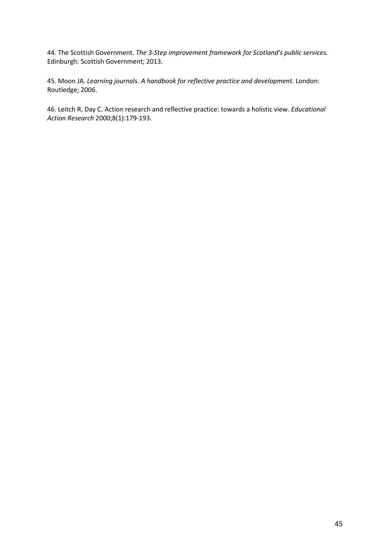44. The Scottish Government. *The 3-Step improvement framework for Scotland's public services.* Edinburgh: Scottish Government; 2013.

45. Moon JA. *Learning journals. A handbook for reflective practice and development.* London: Routledge; 2006.

46. Leitch R, Day C. Action research and reflective practice: towards a holistic view. *Educational Action Research* 2000;8(1):179-193.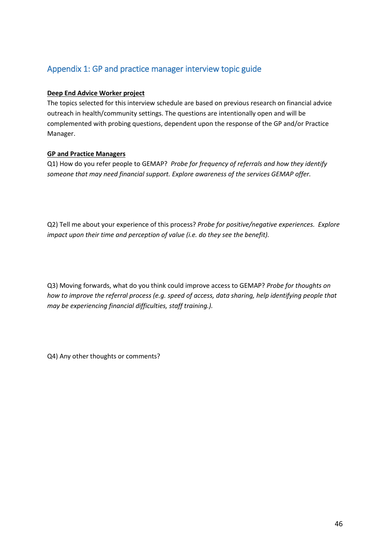# <span id="page-45-0"></span>Appendix 1: GP and practice manager interview topic guide

# **Deep End Advice Worker project**

The topics selected for this interview schedule are based on previous research on financial advice outreach in health/community settings. The questions are intentionally open and will be complemented with probing questions, dependent upon the response of the GP and/or Practice Manager.

# **GP and Practice Managers**

Q1) How do you refer people to GEMAP? *Probe for frequency of referrals and how they identify someone that may need financial support. Explore awareness of the services GEMAP offer.*

Q2) Tell me about your experience of this process? *Probe for positive/negative experiences. Explore impact upon their time and perception of value (i.e. do they see the benefit).*

Q3) Moving forwards, what do you think could improve access to GEMAP? *Probe for thoughts on how to improve the referral process (e.g. speed of access, data sharing, help identifying people that may be experiencing financial difficulties, staff training.).*

Q4) Any other thoughts or comments?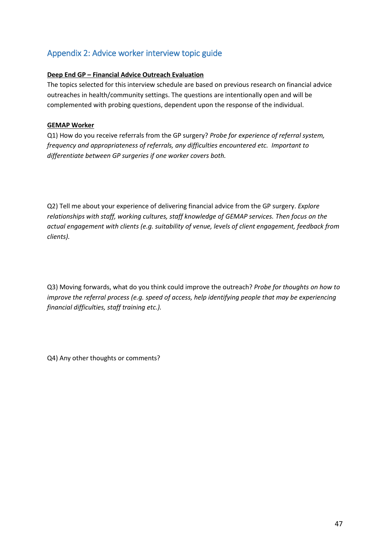# <span id="page-46-0"></span>Appendix 2: Advice worker interview topic guide

# **Deep End GP – Financial Advice Outreach Evaluation**

The topics selected for this interview schedule are based on previous research on financial advice outreaches in health/community settings. The questions are intentionally open and will be complemented with probing questions, dependent upon the response of the individual.

# **GEMAP Worker**

Q1) How do you receive referrals from the GP surgery? *Probe for experience of referral system, frequency and appropriateness of referrals, any difficulties encountered etc. Important to differentiate between GP surgeries if one worker covers both.*

Q2) Tell me about your experience of delivering financial advice from the GP surgery. *Explore relationships with staff, working cultures, staff knowledge of GEMAP services. Then focus on the actual engagement with clients (e.g. suitability of venue, levels of client engagement, feedback from clients).*

Q3) Moving forwards, what do you think could improve the outreach? *Probe for thoughts on how to improve the referral process (e.g. speed of access, help identifying people that may be experiencing financial difficulties, staff training etc.).*

Q4) Any other thoughts or comments?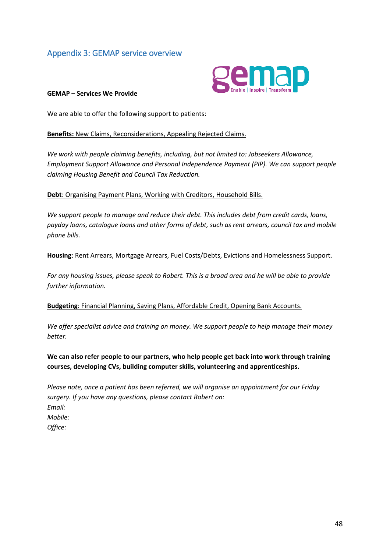# <span id="page-47-0"></span>Appendix 3: GEMAP service overview



#### **GEMAP – Services We Provide**

We are able to offer the following support to patients:

#### **Benefits:** New Claims, Reconsiderations, Appealing Rejected Claims.

*We work with people claiming benefits, including, but not limited to: Jobseekers Allowance, Employment Support Allowance and Personal Independence Payment (PIP). We can support people claiming Housing Benefit and Council Tax Reduction.*

**Debt**: Organising Payment Plans, Working with Creditors, Household Bills.

*We support people to manage and reduce their debt. This includes debt from credit cards, loans, payday loans, catalogue loans and other forms of debt, such as rent arrears, council tax and mobile phone bills.*

#### **Housing**: Rent Arrears, Mortgage Arrears, Fuel Costs/Debts, Evictions and Homelessness Support.

*For any housing issues, please speak to Robert. This is a broad area and he will be able to provide further information.*

**Budgeting**: Financial Planning, Saving Plans, Affordable Credit, Opening Bank Accounts.

*We offer specialist advice and training on money. We support people to help manage their money better.*

**We can also refer people to our partners, who help people get back into work through training courses, developing CVs, building computer skills, volunteering and apprenticeships.**

*Please note, once a patient has been referred, we will organise an appointment for our Friday surgery. If you have any questions, please contact Robert on: Email: Mobile: Office:*